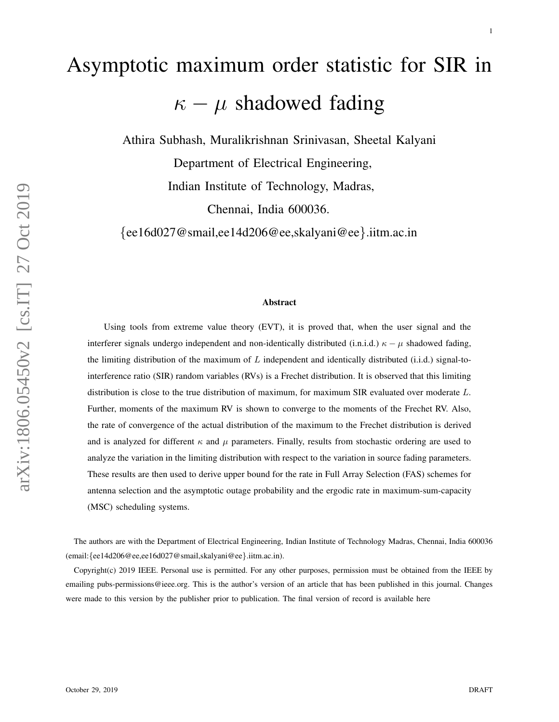# Asymptotic maximum order statistic for SIR in  $\kappa - \mu$  shadowed fading

Athira Subhash, Muralikrishnan Srinivasan, Sheetal Kalyani

Department of Electrical Engineering, Indian Institute of Technology, Madras,

Chennai, India 600036.

{ee16d027@smail,ee14d206@ee,skalyani@ee }.iitm.ac.in

#### Abstract

Using tools from extreme value theory (EVT), it is proved that, when the user signal and the interferer signals undergo independent and non-identically distributed (i.n.i.d.)  $\kappa - \mu$  shadowed fading, the limiting distribution of the maximum of  $L$  independent and identically distributed (i.i.d.) signal-tointerference ratio (SIR) random variables (RVs) is a Frechet distribution. It is observed that this limiting distribution is close to the true distribution of maximum, for maximum SIR evaluated over moderate L. Further, moments of the maximum RV is shown to converge to the moments of the Frechet RV. Also, the rate of convergence of the actual distribution of the maximum to the Frechet distribution is derived and is analyzed for different  $\kappa$  and  $\mu$  parameters. Finally, results from stochastic ordering are used to analyze the variation in the limiting distribution with respect to the variation in source fading parameters. These results are then used to derive upper bound for the rate in Full Array Selection (FAS) schemes for antenna selection and the asymptotic outage probability and the ergodic rate in maximum-sum-capacity (MSC) scheduling systems.

The authors are with the Department of Electrical Engineering, Indian Institute of Technology Madras, Chennai, India 600036 (email: {ee14d206@ee,ee16d027@smail,skalyani@ee }.iitm.ac.in).

Copyright(c) 2019 IEEE. Personal use is permitted. For any other purposes, permission must be obtained from the IEEE by emailing pubs-permissions@ieee.org. This is the author's version of an article that has been published in this journal. Changes were made to this version by the publisher prior to publication. The final version of record is available here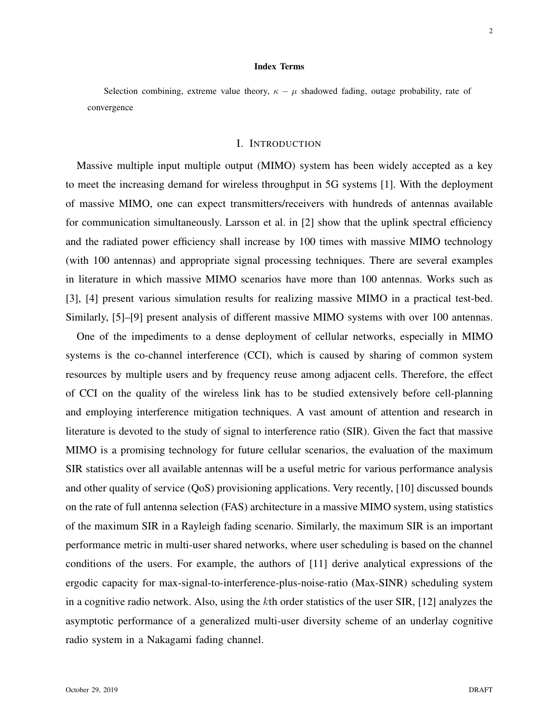#### Index Terms

Selection combining, extreme value theory,  $\kappa - \mu$  shadowed fading, outage probability, rate of convergence

# I. INTRODUCTION

Massive multiple input multiple output (MIMO) system has been widely accepted as a key to meet the increasing demand for wireless throughput in 5G systems [1]. With the deployment of massive MIMO, one can expect transmitters/receivers with hundreds of antennas available for communication simultaneously. Larsson et al. in [2] show that the uplink spectral efficiency and the radiated power efficiency shall increase by 100 times with massive MIMO technology (with 100 antennas) and appropriate signal processing techniques. There are several examples in literature in which massive MIMO scenarios have more than 100 antennas. Works such as [3], [4] present various simulation results for realizing massive MIMO in a practical test-bed. Similarly, [5]–[9] present analysis of different massive MIMO systems with over 100 antennas.

One of the impediments to a dense deployment of cellular networks, especially in MIMO systems is the co-channel interference (CCI), which is caused by sharing of common system resources by multiple users and by frequency reuse among adjacent cells. Therefore, the effect of CCI on the quality of the wireless link has to be studied extensively before cell-planning and employing interference mitigation techniques. A vast amount of attention and research in literature is devoted to the study of signal to interference ratio (SIR). Given the fact that massive MIMO is a promising technology for future cellular scenarios, the evaluation of the maximum SIR statistics over all available antennas will be a useful metric for various performance analysis and other quality of service (QoS) provisioning applications. Very recently, [10] discussed bounds on the rate of full antenna selection (FAS) architecture in a massive MIMO system, using statistics of the maximum SIR in a Rayleigh fading scenario. Similarly, the maximum SIR is an important performance metric in multi-user shared networks, where user scheduling is based on the channel conditions of the users. For example, the authors of [11] derive analytical expressions of the ergodic capacity for max-signal-to-interference-plus-noise-ratio (Max-SINR) scheduling system in a cognitive radio network. Also, using the kth order statistics of the user SIR, [12] analyzes the asymptotic performance of a generalized multi-user diversity scheme of an underlay cognitive radio system in a Nakagami fading channel.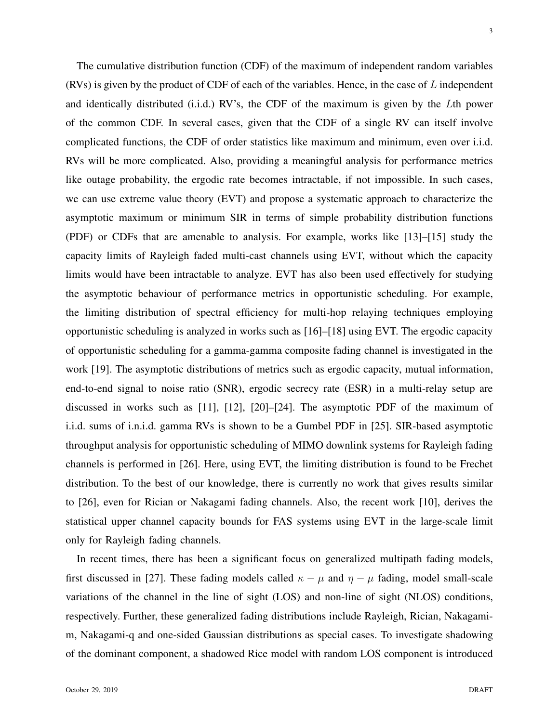The cumulative distribution function (CDF) of the maximum of independent random variables (RVs) is given by the product of CDF of each of the variables. Hence, in the case of L independent and identically distributed (i.i.d.) RV's, the CDF of the maximum is given by the Lth power of the common CDF. In several cases, given that the CDF of a single RV can itself involve complicated functions, the CDF of order statistics like maximum and minimum, even over i.i.d. RVs will be more complicated. Also, providing a meaningful analysis for performance metrics like outage probability, the ergodic rate becomes intractable, if not impossible. In such cases, we can use extreme value theory (EVT) and propose a systematic approach to characterize the asymptotic maximum or minimum SIR in terms of simple probability distribution functions (PDF) or CDFs that are amenable to analysis. For example, works like [13]–[15] study the capacity limits of Rayleigh faded multi-cast channels using EVT, without which the capacity limits would have been intractable to analyze. EVT has also been used effectively for studying the asymptotic behaviour of performance metrics in opportunistic scheduling. For example, the limiting distribution of spectral efficiency for multi-hop relaying techniques employing opportunistic scheduling is analyzed in works such as [16]–[18] using EVT. The ergodic capacity of opportunistic scheduling for a gamma-gamma composite fading channel is investigated in the work [19]. The asymptotic distributions of metrics such as ergodic capacity, mutual information, end-to-end signal to noise ratio (SNR), ergodic secrecy rate (ESR) in a multi-relay setup are discussed in works such as [11], [12], [20]–[24]. The asymptotic PDF of the maximum of i.i.d. sums of i.n.i.d. gamma RVs is shown to be a Gumbel PDF in [25]. SIR-based asymptotic throughput analysis for opportunistic scheduling of MIMO downlink systems for Rayleigh fading channels is performed in [26]. Here, using EVT, the limiting distribution is found to be Frechet distribution. To the best of our knowledge, there is currently no work that gives results similar to [26], even for Rician or Nakagami fading channels. Also, the recent work [10], derives the statistical upper channel capacity bounds for FAS systems using EVT in the large-scale limit only for Rayleigh fading channels.

In recent times, there has been a significant focus on generalized multipath fading models, first discussed in [27]. These fading models called  $\kappa - \mu$  and  $\eta - \mu$  fading, model small-scale variations of the channel in the line of sight (LOS) and non-line of sight (NLOS) conditions, respectively. Further, these generalized fading distributions include Rayleigh, Rician, Nakagamim, Nakagami-q and one-sided Gaussian distributions as special cases. To investigate shadowing of the dominant component, a shadowed Rice model with random LOS component is introduced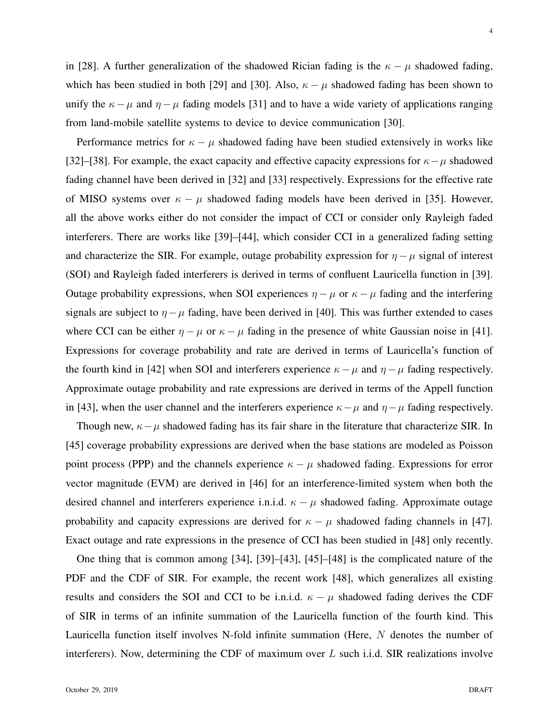in [28]. A further generalization of the shadowed Rician fading is the  $\kappa - \mu$  shadowed fading, which has been studied in both [29] and [30]. Also,  $\kappa - \mu$  shadowed fading has been shown to unify the  $\kappa - \mu$  and  $\eta - \mu$  fading models [31] and to have a wide variety of applications ranging from land-mobile satellite systems to device to device communication [30].

Performance metrics for  $\kappa - \mu$  shadowed fading have been studied extensively in works like [32]–[38]. For example, the exact capacity and effective capacity expressions for  $\kappa-\mu$  shadowed fading channel have been derived in [32] and [33] respectively. Expressions for the effective rate of MISO systems over  $\kappa - \mu$  shadowed fading models have been derived in [35]. However, all the above works either do not consider the impact of CCI or consider only Rayleigh faded interferers. There are works like [39]–[44], which consider CCI in a generalized fading setting and characterize the SIR. For example, outage probability expression for  $\eta - \mu$  signal of interest (SOI) and Rayleigh faded interferers is derived in terms of confluent Lauricella function in [39]. Outage probability expressions, when SOI experiences  $\eta - \mu$  or  $\kappa - \mu$  fading and the interfering signals are subject to  $\eta - \mu$  fading, have been derived in [40]. This was further extended to cases where CCI can be either  $\eta - \mu$  or  $\kappa - \mu$  fading in the presence of white Gaussian noise in [41]. Expressions for coverage probability and rate are derived in terms of Lauricella's function of the fourth kind in [42] when SOI and interferers experience  $\kappa - \mu$  and  $\eta - \mu$  fading respectively. Approximate outage probability and rate expressions are derived in terms of the Appell function in [43], when the user channel and the interferers experience  $\kappa - \mu$  and  $\eta - \mu$  fading respectively.

Though new,  $\kappa - \mu$  shadowed fading has its fair share in the literature that characterize SIR. In [45] coverage probability expressions are derived when the base stations are modeled as Poisson point process (PPP) and the channels experience  $\kappa - \mu$  shadowed fading. Expressions for error vector magnitude (EVM) are derived in [46] for an interference-limited system when both the desired channel and interferers experience i.n.i.d.  $\kappa - \mu$  shadowed fading. Approximate outage probability and capacity expressions are derived for  $\kappa - \mu$  shadowed fading channels in [47]. Exact outage and rate expressions in the presence of CCI has been studied in [48] only recently.

One thing that is common among [34], [39]–[43], [45]–[48] is the complicated nature of the PDF and the CDF of SIR. For example, the recent work [48], which generalizes all existing results and considers the SOI and CCI to be i.n.i.d.  $\kappa - \mu$  shadowed fading derives the CDF of SIR in terms of an infinite summation of the Lauricella function of the fourth kind. This Lauricella function itself involves N-fold infinite summation (Here, N denotes the number of interferers). Now, determining the CDF of maximum over  $L$  such i.i.d. SIR realizations involve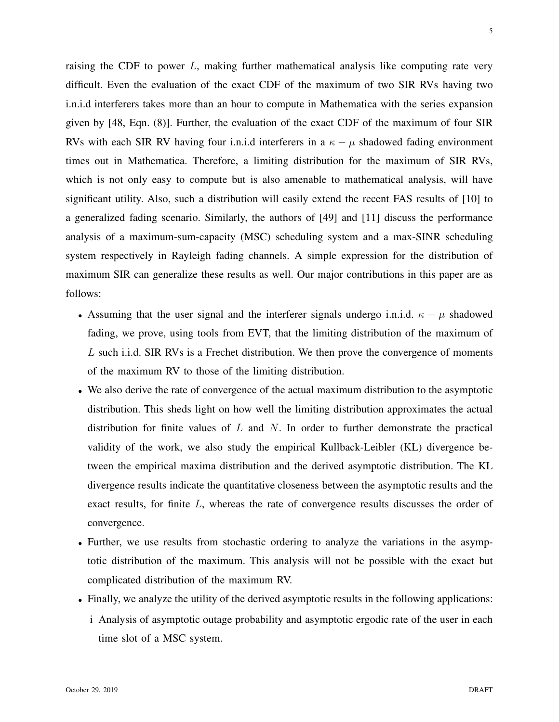raising the CDF to power  $L$ , making further mathematical analysis like computing rate very difficult. Even the evaluation of the exact CDF of the maximum of two SIR RVs having two i.n.i.d interferers takes more than an hour to compute in Mathematica with the series expansion given by [48, Eqn. (8)]. Further, the evaluation of the exact CDF of the maximum of four SIR RVs with each SIR RV having four i.n.i.d interferers in a  $\kappa - \mu$  shadowed fading environment times out in Mathematica. Therefore, a limiting distribution for the maximum of SIR RVs, which is not only easy to compute but is also amenable to mathematical analysis, will have significant utility. Also, such a distribution will easily extend the recent FAS results of [10] to a generalized fading scenario. Similarly, the authors of [49] and [11] discuss the performance analysis of a maximum-sum-capacity (MSC) scheduling system and a max-SINR scheduling system respectively in Rayleigh fading channels. A simple expression for the distribution of maximum SIR can generalize these results as well. Our major contributions in this paper are as follows:

- Assuming that the user signal and the interferer signals undergo i.n.i.d.  $\kappa \mu$  shadowed fading, we prove, using tools from EVT, that the limiting distribution of the maximum of L such i.i.d. SIR RVs is a Frechet distribution. We then prove the convergence of moments of the maximum RV to those of the limiting distribution.
- We also derive the rate of convergence of the actual maximum distribution to the asymptotic distribution. This sheds light on how well the limiting distribution approximates the actual distribution for finite values of  $L$  and  $N$ . In order to further demonstrate the practical validity of the work, we also study the empirical Kullback-Leibler (KL) divergence between the empirical maxima distribution and the derived asymptotic distribution. The KL divergence results indicate the quantitative closeness between the asymptotic results and the exact results, for finite L, whereas the rate of convergence results discusses the order of convergence.
- Further, we use results from stochastic ordering to analyze the variations in the asymptotic distribution of the maximum. This analysis will not be possible with the exact but complicated distribution of the maximum RV.
- Finally, we analyze the utility of the derived asymptotic results in the following applications: i Analysis of asymptotic outage probability and asymptotic ergodic rate of the user in each time slot of a MSC system.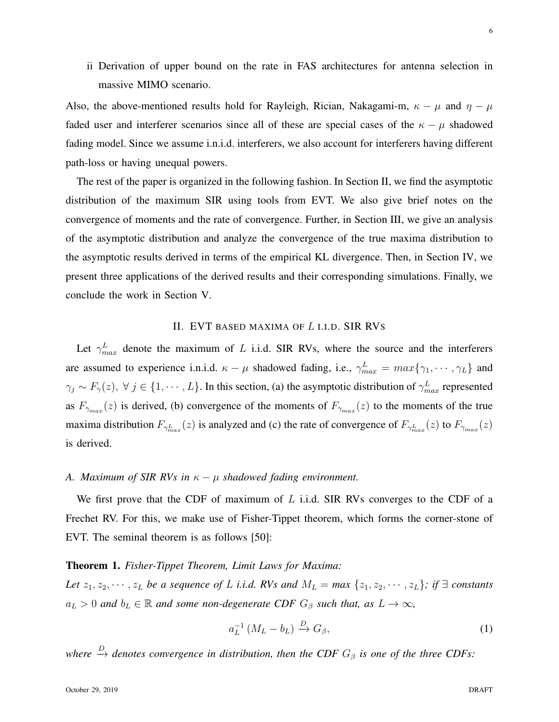ii Derivation of upper bound on the rate in FAS architectures for antenna selection in massive MIMO scenario.

Also, the above-mentioned results hold for Rayleigh, Rician, Nakagami-m,  $\kappa - \mu$  and  $\eta - \mu$ faded user and interferer scenarios since all of these are special cases of the  $\kappa - \mu$  shadowed fading model. Since we assume i.n.i.d. interferers, we also account for interferers having different path-loss or having unequal powers.

The rest of the paper is organized in the following fashion. In Section II, we find the asymptotic distribution of the maximum SIR using tools from EVT. We also give brief notes on the convergence of moments and the rate of convergence. Further, in Section III, we give an analysis of the asymptotic distribution and analyze the convergence of the true maxima distribution to the asymptotic results derived in terms of the empirical KL divergence. Then, in Section IV, we present three applications of the derived results and their corresponding simulations. Finally, we conclude the work in Section V.

# II. EVT BASED MAXIMA OF L I.I.D. SIR RVS

Let  $\gamma_{max}^L$  denote the maximum of L i.i.d. SIR RVs, where the source and the interferers are assumed to experience i.n.i.d.  $\kappa - \mu$  shadowed fading, i.e.,  $\gamma_{max}^L = max\{\gamma_1, \dots, \gamma_L\}$  and  $\gamma_j \sim F_\gamma(z)$ ,  $\forall j \in \{1, \dots, L\}$ . In this section, (a) the asymptotic distribution of  $\gamma_{max}^L$  represented as  $F_{\gamma_{max}}(z)$  is derived, (b) convergence of the moments of  $F_{\gamma_{max}}(z)$  to the moments of the true maxima distribution  $F_{\gamma_{max}^L}(z)$  is analyzed and (c) the rate of convergence of  $F_{\gamma_{max}^L}(z)$  to  $F_{\gamma_{max}}(z)$ is derived.

# *A. Maximum of SIR RVs in* κ − µ *shadowed fading environment.*

We first prove that the CDF of maximum of  $L$  i.i.d. SIR RVs converges to the CDF of a Frechet RV. For this, we make use of Fisher-Tippet theorem, which forms the corner-stone of EVT. The seminal theorem is as follows [50]:

### Theorem 1. *Fisher-Tippet Theorem, Limit Laws for Maxima:*

*Let*  $z_1, z_2, \dots, z_L$  *be a sequence of* L *i.i.d.* RVs and  $M_L = \max\{z_1, z_2, \dots, z_L\}$ ; if  $\exists$  constants  $a_L > 0$  and  $b_L \in \mathbb{R}$  and some non-degenerate CDF  $G_\beta$  such that, as  $L \to \infty$ ,

$$
a_L^{-1} \left( M_L - b_L \right) \xrightarrow{D} G_\beta,\tag{1}
$$

where  $\stackrel{D}{\rightarrow}$  denotes convergence in distribution, then the CDF  $G_{\beta}$  is one of the three CDFs: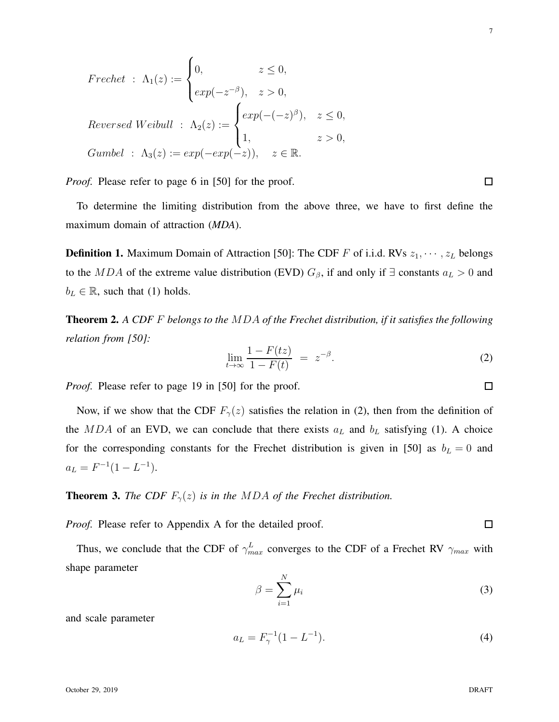7

 $\Box$ 

To determine the limiting distribution from the above three, we have to first define the maximum domain of attraction (*MDA*).

 $exp(-(-z)^{\beta}), \quad z \leq 0,$ 

1,  $z > 0$ ,

**Definition 1.** Maximum Domain of Attraction [50]: The CDF F of i.i.d. RVs  $z_1, \dots, z_L$  belongs to the MDA of the extreme value distribution (EVD)  $G_\beta$ , if and only if  $\exists$  constants  $a_L > 0$  and  $b_L \in \mathbb{R}$ , such that (1) holds.

Theorem 2. *A CDF* F *belongs to the* MDA *of the Frechet distribution, if it satisfies the following relation from [50]:*

$$
\lim_{t \to \infty} \frac{1 - F(tz)}{1 - F(t)} = z^{-\beta}.
$$
\n(2)

*Proof.* Please refer to page 19 in [50] for the proof.

 $Frechet : \Lambda_1(z) :=$ 

 $Reversed$  Weibull :  $\Lambda_2(z) :=$ 

 $\sqrt{ }$  $\int$ 

0,  $z \leq 0$ ,

 $exp(-z^{-\beta}), \quad z > 0,$ 

 $\sqrt{ }$  $\int$ 

 $\overline{\mathcal{L}}$ 

 $\overline{\mathcal{L}}$ 

 $Gumbel$  :  $\Lambda_3(z) := exp(-exp(-z)), \quad z \in \mathbb{R}.$ 

*Proof.* Please refer to page 6 in [50] for the proof.

Now, if we show that the CDF  $F_{\gamma}(z)$  satisfies the relation in (2), then from the definition of the MDA of an EVD, we can conclude that there exists  $a<sub>L</sub>$  and  $b<sub>L</sub>$  satisfying (1). A choice for the corresponding constants for the Frechet distribution is given in [50] as  $b<sub>L</sub> = 0$  and  $a_L = F^{-1}(1 - L^{-1}).$ 

# **Theorem 3.** *The CDF*  $F_{\gamma}(z)$  *is in the MDA of the Frechet distribution.*

*Proof.* Please refer to Appendix A for the detailed proof.

Thus, we conclude that the CDF of  $\gamma_{max}^L$  converges to the CDF of a Frechet RV  $\gamma_{max}$  with shape parameter

$$
\beta = \sum_{i=1}^{N} \mu_i \tag{3}
$$

and scale parameter

$$
a_L = F_{\gamma}^{-1} (1 - L^{-1}). \tag{4}
$$

 $\Box$ 

 $\Box$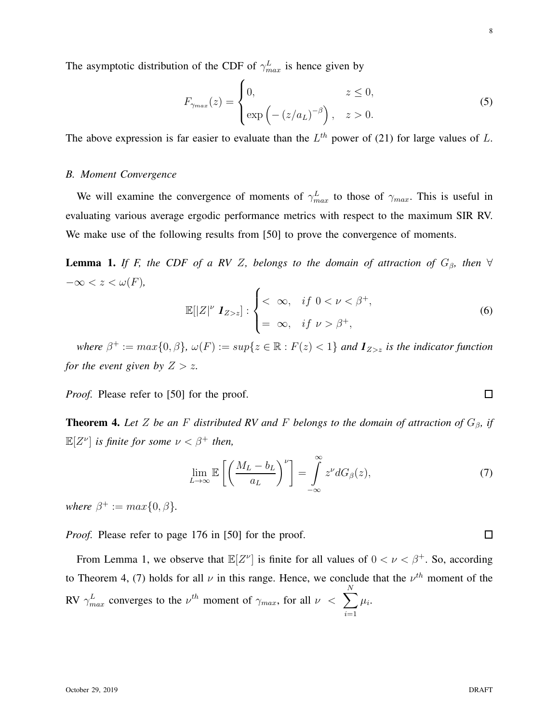October 29, 2019 DRAFT

$$
F_{\gamma_{max}}(z) = \begin{cases} 0, & z \le 0, \\ \exp\left(-(z/a_L)^{-\beta}\right), & z > 0. \end{cases}
$$
 (5)

The above expression is far easier to evaluate than the  $L^{th}$  power of (21) for large values of L.

# *B. Moment Convergence*

We will examine the convergence of moments of  $\gamma_{max}^L$  to those of  $\gamma_{max}$ . This is useful in evaluating various average ergodic performance metrics with respect to the maximum SIR RV. We make use of the following results from [50] to prove the convergence of moments.

**Lemma 1.** *If F, the CDF of a RV Z, belongs to the domain of attraction of*  $G_\beta$ *, then*  $\forall$ −∞ < z < ω(F)*,*

$$
\mathbb{E}[|Z|^{\nu} \mathbf{1}_{Z>z}]: \begin{cases} < \infty, & \text{if } 0 < \nu < \beta^+, \\ = \infty, & \text{if } \nu > \beta^+, \end{cases}
$$
 (6)

where  $\beta^+ := max\{0, \beta\}$ ,  $\omega(F) := sup\{z \in \mathbb{R} : F(z) < 1\}$  and  $\mathbf{1}_{Z > z}$  is the indicator function *for the event given by*  $Z > z$ *.* 

*Proof.* Please refer to [50] for the proof.

**Theorem 4.** Let Z be an F distributed RV and F belongs to the domain of attraction of  $G_\beta$ , if  $\mathbb{E}[Z^{\nu}]$  *is finite for some*  $\nu < \beta^+$  *then,* 

$$
\lim_{L \to \infty} \mathbb{E}\left[\left(\frac{M_L - b_L}{a_L}\right)^{\nu}\right] = \int_{-\infty}^{\infty} z^{\nu} dG_{\beta}(z),\tag{7}
$$

*where*  $\beta^+ := max\{0, \beta\}.$ 

*Proof.* Please refer to page 176 in [50] for the proof.

From Lemma 1, we observe that  $\mathbb{E}[Z^{\nu}]$  is finite for all values of  $0 < \nu < \beta^{+}$ . So, according to Theorem 4, (7) holds for all  $\nu$  in this range. Hence, we conclude that the  $\nu^{th}$  moment of the RV  $\gamma_{max}^L$  converges to the  $\nu^{th}$  moment of  $\gamma_{max}$ , for all  $\nu \ll \sum$ N  $i=1$  $\mu_i$ .

 $\Box$ 

 $\Box$ 

8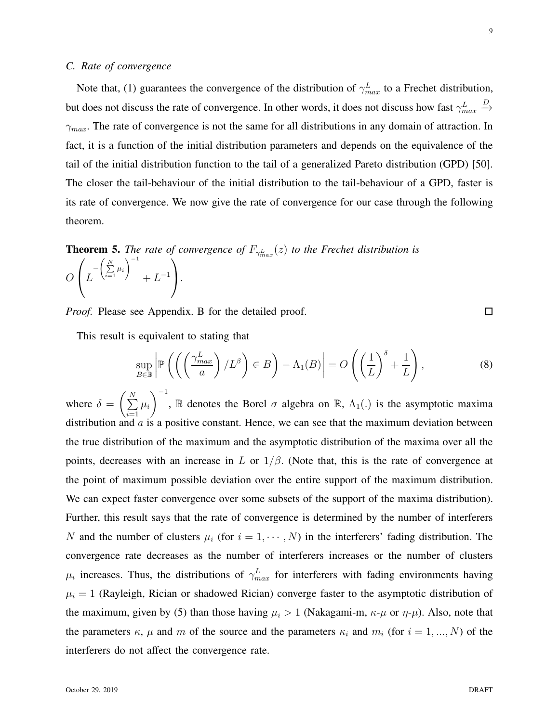# *C. Rate of convergence*

Note that, (1) guarantees the convergence of the distribution of  $\gamma_{max}^L$  to a Frechet distribution, but does not discuss the rate of convergence. In other words, it does not discuss how fast  $\gamma_{max}^L$  $\stackrel{D}{\rightarrow}$  $\gamma_{max}$ . The rate of convergence is not the same for all distributions in any domain of attraction. In fact, it is a function of the initial distribution parameters and depends on the equivalence of the tail of the initial distribution function to the tail of a generalized Pareto distribution (GPD) [50]. The closer the tail-behaviour of the initial distribution to the tail-behaviour of a GPD, faster is its rate of convergence. We now give the rate of convergence for our case through the following theorem.

**Theorem 5.** The rate of convergence of  $F_{\gamma_{max}^L}(z)$  to the Frechet distribution is

$$
O\left(L^{-\left(\sum\limits_{i=1}^{N}\mu_i\right)^{-1}}+L^{-1}\right).
$$

*Proof.* Please see Appendix. B for the detailed proof.

This result is equivalent to stating that

$$
\sup_{B \in \mathbb{B}} \left| \mathbb{P}\left( \left( \left( \frac{\gamma_{max}^L}{a} \right) / L^{\beta} \right) \in B \right) - \Lambda_1(B) \right| = O\left( \left( \frac{1}{L} \right)^{\delta} + \frac{1}{L} \right),\tag{8}
$$

where  $\delta = \left(\sum_{i=1}^{N} \right)$  $i=1$  $\mu_i$  $\setminus$ <sup>-1</sup> , B denotes the Borel  $\sigma$  algebra on R,  $\Lambda_1(.)$  is the asymptotic maxima distribution and  $\alpha$  is a positive constant. Hence, we can see that the maximum deviation between the true distribution of the maximum and the asymptotic distribution of the maxima over all the points, decreases with an increase in L or  $1/\beta$ . (Note that, this is the rate of convergence at the point of maximum possible deviation over the entire support of the maximum distribution. We can expect faster convergence over some subsets of the support of the maxima distribution). Further, this result says that the rate of convergence is determined by the number of interferers N and the number of clusters  $\mu_i$  (for  $i = 1, \dots, N$ ) in the interferers' fading distribution. The convergence rate decreases as the number of interferers increases or the number of clusters  $\mu_i$  increases. Thus, the distributions of  $\gamma_{max}^L$  for interferers with fading environments having  $\mu_i = 1$  (Rayleigh, Rician or shadowed Rician) converge faster to the asymptotic distribution of the maximum, given by (5) than those having  $\mu_i > 1$  (Nakagami-m,  $\kappa$ - $\mu$  or  $\eta$ - $\mu$ ). Also, note that the parameters  $\kappa$ ,  $\mu$  and  $m$  of the source and the parameters  $\kappa_i$  and  $m_i$  (for  $i = 1, ..., N$ ) of the interferers do not affect the convergence rate.

9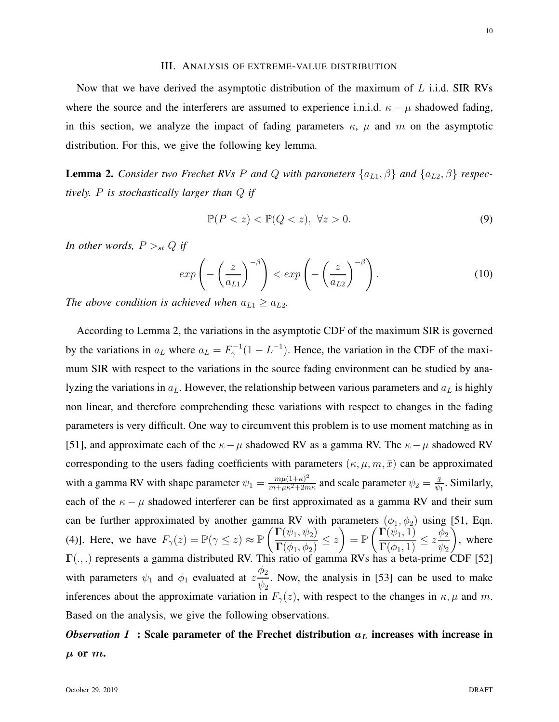Now that we have derived the asymptotic distribution of the maximum of  $L$  i.i.d. SIR RVs where the source and the interferers are assumed to experience i.n.i.d.  $\kappa - \mu$  shadowed fading, in this section, we analyze the impact of fading parameters  $\kappa$ ,  $\mu$  and  $m$  on the asymptotic distribution. For this, we give the following key lemma.

**Lemma 2.** *Consider two Frechet RVs P and Q with parameters*  $\{a_{L1}, \beta\}$  *and*  $\{a_{L2}, \beta\}$  *respectively.* P *is stochastically larger than* Q *if*

$$
\mathbb{P}(P < z) < \mathbb{P}(Q < z), \ \forall z > 0. \tag{9}
$$

*In other words,*  $P >_{st} Q$  *if* 

$$
\exp\left(-\left(\frac{z}{a_{L1}}\right)^{-\beta}\right) < \exp\left(-\left(\frac{z}{a_{L2}}\right)^{-\beta}\right). \tag{10}
$$

*The above condition is achieved when*  $a_{L1} \ge a_{L2}$ *.* 

According to Lemma 2, the variations in the asymptotic CDF of the maximum SIR is governed by the variations in  $a_L$  where  $a_L = F_\gamma^{-1}(1 - L^{-1})$ . Hence, the variation in the CDF of the maximum SIR with respect to the variations in the source fading environment can be studied by analyzing the variations in  $a<sub>L</sub>$ . However, the relationship between various parameters and  $a<sub>L</sub>$  is highly non linear, and therefore comprehending these variations with respect to changes in the fading parameters is very difficult. One way to circumvent this problem is to use moment matching as in [51], and approximate each of the  $\kappa - \mu$  shadowed RV as a gamma RV. The  $\kappa - \mu$  shadowed RV corresponding to the users fading coefficients with parameters  $(\kappa, \mu, m, \bar{x})$  can be approximated with a gamma RV with shape parameter  $\psi_1 = \frac{m\mu(1+\kappa)^2}{m+\mu\kappa^2+2m}$  $\frac{m\mu(1+\kappa)^2}{m+\mu\kappa^2+2m\kappa}$  and scale parameter  $\psi_2 = \frac{\bar{x}}{\psi_2}$  $\frac{\bar{x}}{\psi_1}$ . Similarly, each of the  $\kappa - \mu$  shadowed interferer can be first approximated as a gamma RV and their sum can be further approximated by another gamma RV with parameters  $(\phi_1, \phi_2)$  using [51, Eqn. (4)]. Here, we have  $F_{\gamma}(z) = \mathbb{P}(\gamma \leq z) \approx \mathbb{P}\left(\frac{\Gamma(\psi_1, \psi_2)}{\Gamma(\phi_1, \phi_2)}\right)$  $\frac{\Gamma(\varphi_1, \varphi_2)}{\Gamma(\phi_1, \phi_2)} \leq z$  $= \mathbb{P}\left(\frac{\Gamma(\psi_1,1)}{\Gamma(1)}\right)$  $\frac{\Gamma(\varphi_1, 1)}{\Gamma(\phi_1, 1)} \leq z$  $\phi_2$  $\psi_2$  $\setminus$ , where  $\Gamma(.,.)$  represents a gamma distributed RV. This ratio of gamma RVs has a beta-prime CDF [52] with parameters  $\psi_1$  and  $\phi_1$  evaluated at z  $\phi_2$  $\psi_2$ . Now, the analysis in [53] can be used to make inferences about the approximate variation in  $F_{\gamma}(z)$ , with respect to the changes in  $\kappa, \mu$  and m. Based on the analysis, we give the following observations.

# *Observation 1* : Scale parameter of the Frechet distribution  $a<sub>L</sub>$  increases with increase in  $\mu$  or  $m$ .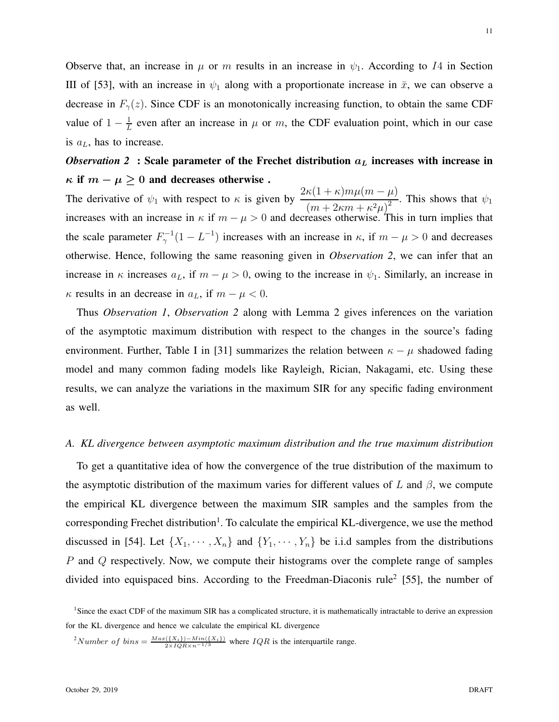Observe that, an increase in  $\mu$  or m results in an increase in  $\psi_1$ . According to I4 in Section III of [53], with an increase in  $\psi_1$  along with a proportionate increase in  $\bar{x}$ , we can observe a decrease in  $F_{\gamma}(z)$ . Since CDF is an monotonically increasing function, to obtain the same CDF value of  $1 - \frac{1}{l}$  $\frac{1}{L}$  even after an increase in  $\mu$  or m, the CDF evaluation point, which in our case is  $a<sub>L</sub>$ , has to increase.

# *Observation 2* : Scale parameter of the Frechet distribution  $a<sub>L</sub>$  increases with increase in  $\kappa$  if  $m - \mu \geq 0$  and decreases otherwise.

The derivative of  $\psi_1$  with respect to  $\kappa$  is given by  $\frac{2\kappa(1+\kappa)m\mu(m-\mu)}{(\kappa^2-1)(\kappa^2-1)^2}$  $\frac{m(x + k)m\mu(kk + k^2)}{(m + 2\kappa m + \kappa^2 \mu)^2}$ . This shows that  $\psi_1$ increases with an increase in  $\kappa$  if  $m - \mu > 0$  and decreases otherwise. This in turn implies that the scale parameter  $F_{\gamma}^{-1}(1 - L^{-1})$  increases with an increase in  $\kappa$ , if  $m - \mu > 0$  and decreases otherwise. Hence, following the same reasoning given in *Observation 2*, we can infer that an increase in  $\kappa$  increases  $a_L$ , if  $m - \mu > 0$ , owing to the increase in  $\psi_1$ . Similarly, an increase in  $\kappa$  results in an decrease in  $a<sub>L</sub>$ , if  $m - \mu < 0$ .

Thus *Observation 1*, *Observation 2* along with Lemma 2 gives inferences on the variation of the asymptotic maximum distribution with respect to the changes in the source's fading environment. Further, Table I in [31] summarizes the relation between  $\kappa - \mu$  shadowed fading model and many common fading models like Rayleigh, Rician, Nakagami, etc. Using these results, we can analyze the variations in the maximum SIR for any specific fading environment as well.

#### *A. KL divergence between asymptotic maximum distribution and the true maximum distribution*

To get a quantitative idea of how the convergence of the true distribution of the maximum to the asymptotic distribution of the maximum varies for different values of L and  $\beta$ , we compute the empirical KL divergence between the maximum SIR samples and the samples from the corresponding Frechet distribution<sup>1</sup>. To calculate the empirical KL-divergence, we use the method discussed in [54]. Let  $\{X_1, \dots, X_n\}$  and  $\{Y_1, \dots, Y_n\}$  be i.i.d samples from the distributions P and Q respectively. Now, we compute their histograms over the complete range of samples divided into equispaced bins. According to the Freedman-Diaconis rule<sup>2</sup> [55], the number of

<sup>2</sup>Number of bins =  $\frac{Max({X_i})-Min({X_i})}{2 \times IQR \times n^{-1/3}}$  where  $IQR$  is the interquartile range.

<sup>&</sup>lt;sup>1</sup>Since the exact CDF of the maximum SIR has a complicated structure, it is mathematically intractable to derive an expression for the KL divergence and hence we calculate the empirical KL divergence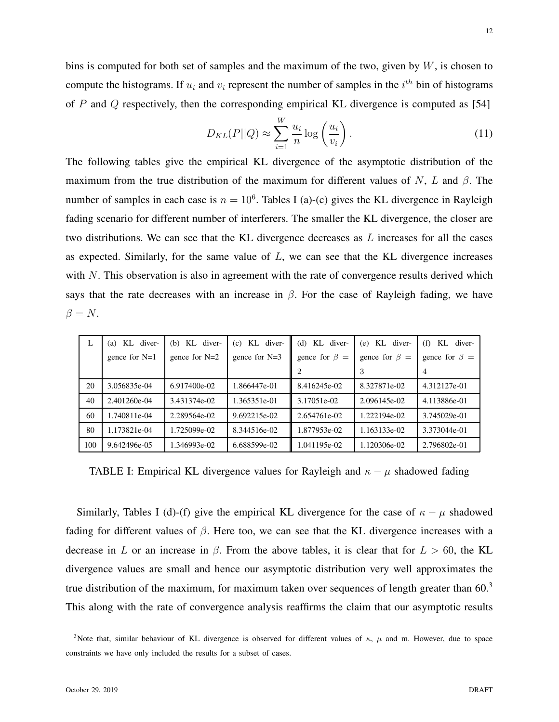$$
D_{KL}(P||Q) \approx \sum_{i=1}^{W} \frac{u_i}{n} \log \left(\frac{u_i}{v_i}\right). \tag{11}
$$

The following tables give the empirical KL divergence of the asymptotic distribution of the maximum from the true distribution of the maximum for different values of N, L and  $\beta$ . The number of samples in each case is  $n = 10^6$ . Tables I (a)-(c) gives the KL divergence in Rayleigh fading scenario for different number of interferers. The smaller the KL divergence, the closer are two distributions. We can see that the KL divergence decreases as  $L$  increases for all the cases as expected. Similarly, for the same value of  $L$ , we can see that the KL divergence increases with N. This observation is also in agreement with the rate of convergence results derived which says that the rate decreases with an increase in  $\beta$ . For the case of Rayleigh fading, we have  $\beta = N$ .

| L   | KL diver-<br>(a) | $(b)$ KL diver- | $(c)$ KL diver- | $(d)$ KL diver-     | $(e)$ KL diver-     | KL diver-<br>(f)    |
|-----|------------------|-----------------|-----------------|---------------------|---------------------|---------------------|
|     | gence for $N=1$  | gence for $N=2$ | gence for $N=3$ | gence for $\beta =$ | gence for $\beta =$ | gence for $\beta =$ |
|     |                  |                 |                 |                     | 3                   | 4                   |
| 20  | 3.056835e-04     | $6.917400e-02$  | 1.866447e-01    | 8.416245e-02        | 8.327871e-02        | 4.312127e-01        |
| 40  | 2.401260e-04     | 3.431374e-02    | 1.365351e-01    | 3.17051e-02         | 2.096145e-02        | 4.113886e-01        |
| 60  | 1.740811e-04     | 2.289564e-02    | 9.692215e-02    | 2.654761e-02        | 1.222194e-02        | 3.745029e-01        |
| 80  | 1.173821e-04     | 1.725099e-02    | 8.344516e-02    | 1.877953e-02        | 1.163133e-02        | 3.373044e-01        |
| 100 | 9.642496e-05     | 1.346993e-02    | 6.688599e-02    | 1.041195e-02        | 1.120306e-02        | 2.796802e-01        |

TABLE I: Empirical KL divergence values for Rayleigh and  $\kappa - \mu$  shadowed fading

Similarly, Tables I (d)-(f) give the empirical KL divergence for the case of  $\kappa - \mu$  shadowed fading for different values of  $\beta$ . Here too, we can see that the KL divergence increases with a decrease in L or an increase in  $\beta$ . From the above tables, it is clear that for  $L > 60$ , the KL divergence values are small and hence our asymptotic distribution very well approximates the true distribution of the maximum, for maximum taken over sequences of length greater than  $60<sup>3</sup>$ This along with the rate of convergence analysis reaffirms the claim that our asymptotic results

<sup>&</sup>lt;sup>3</sup>Note that, similar behaviour of KL divergence is observed for different values of  $\kappa$ ,  $\mu$  and m. However, due to space constraints we have only included the results for a subset of cases.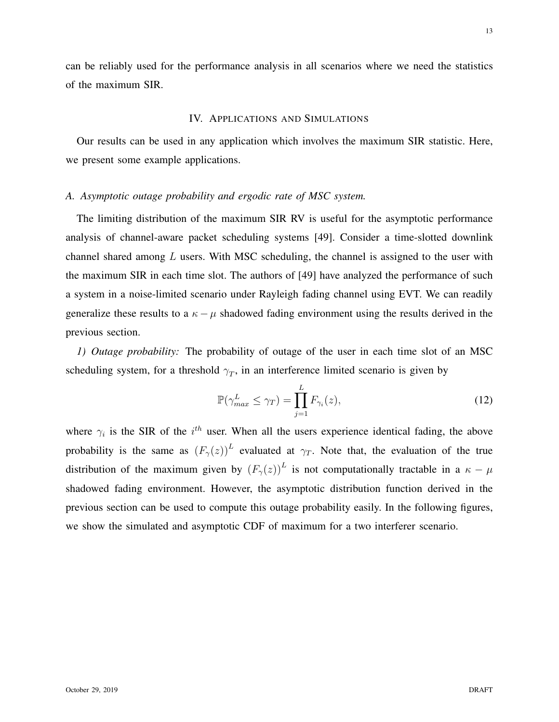can be reliably used for the performance analysis in all scenarios where we need the statistics of the maximum SIR.

# IV. APPLICATIONS AND SIMULATIONS

Our results can be used in any application which involves the maximum SIR statistic. Here, we present some example applications.

# *A. Asymptotic outage probability and ergodic rate of MSC system.*

The limiting distribution of the maximum SIR RV is useful for the asymptotic performance analysis of channel-aware packet scheduling systems [49]. Consider a time-slotted downlink channel shared among  $L$  users. With MSC scheduling, the channel is assigned to the user with the maximum SIR in each time slot. The authors of [49] have analyzed the performance of such a system in a noise-limited scenario under Rayleigh fading channel using EVT. We can readily generalize these results to a  $\kappa - \mu$  shadowed fading environment using the results derived in the previous section.

*1) Outage probability:* The probability of outage of the user in each time slot of an MSC scheduling system, for a threshold  $\gamma_T$ , in an interference limited scenario is given by

$$
\mathbb{P}(\gamma_{max}^L \le \gamma_T) = \prod_{j=1}^L F_{\gamma_i}(z),\tag{12}
$$

where  $\gamma_i$  is the SIR of the  $i^{th}$  user. When all the users experience identical fading, the above probability is the same as  $(F_\gamma(z))^L$  evaluated at  $\gamma_T$ . Note that, the evaluation of the true distribution of the maximum given by  $(F_\gamma(z))^L$  is not computationally tractable in a  $\kappa - \mu$ shadowed fading environment. However, the asymptotic distribution function derived in the previous section can be used to compute this outage probability easily. In the following figures, we show the simulated and asymptotic CDF of maximum for a two interferer scenario.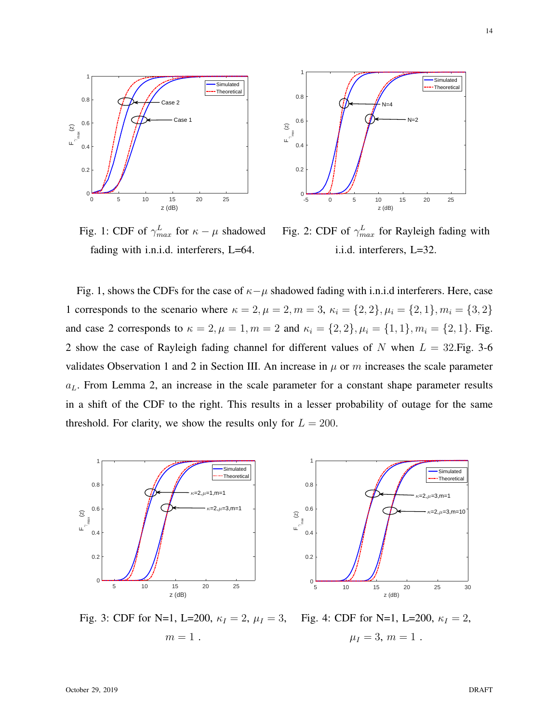

Fig. 1: CDF of  $\gamma_{max}^L$  for  $\kappa - \mu$  shadowed fading with i.n.i.d. interferers, L=64.



Fig. 2: CDF of  $\gamma_{max}^L$  for Rayleigh fading with i.i.d. interferers, L=32.

Fig. 1, shows the CDFs for the case of  $\kappa-\mu$  shadowed fading with i.n.i.d interferers. Here, case 1 corresponds to the scenario where  $\kappa = 2, \mu = 2, m = 3, \kappa_i = \{2, 2\}, \mu_i = \{2, 1\}, m_i = \{3, 2\}$ and case 2 corresponds to  $\kappa = 2$ ,  $\mu = 1$ ,  $m = 2$  and  $\kappa_i = \{2, 2\}$ ,  $\mu_i = \{1, 1\}$ ,  $m_i = \{2, 1\}$ . Fig. 2 show the case of Rayleigh fading channel for different values of  $N$  when  $L = 32$ . Fig. 3-6 validates Observation 1 and 2 in Section III. An increase in  $\mu$  or m increases the scale parameter  $a<sub>L</sub>$ . From Lemma 2, an increase in the scale parameter for a constant shape parameter results in a shift of the CDF to the right. This results in a lesser probability of outage for the same threshold. For clarity, we show the results only for  $L = 200$ .



Fig. 3: CDF for N=1, L=200,  $\kappa_I = 2$ ,  $\mu_I = 3$ ,  $m=1$ . Fig. 4: CDF for N=1, L=200,  $\kappa_I = 2$ ,  $\mu_I = 3, m = 1$ .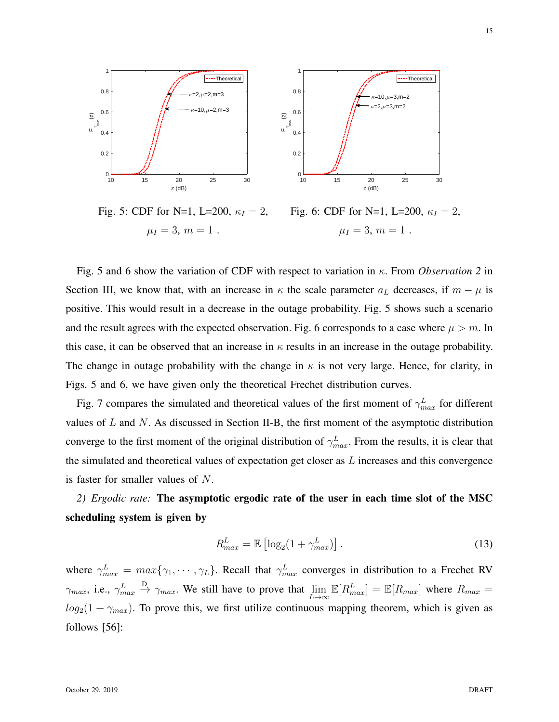

Fig. 5: CDF for N=1, L=200,  $\kappa_I = 2$ ,  $\mu_I = 3, m = 1$ . Fig. 6: CDF for N=1, L=200,  $\kappa_I = 2$ ,  $\mu_I = 3, m = 1$ .

Fig. 5 and 6 show the variation of CDF with respect to variation in κ. From *Observation 2* in Section III, we know that, with an increase in  $\kappa$  the scale parameter  $a_L$  decreases, if  $m - \mu$  is positive. This would result in a decrease in the outage probability. Fig. 5 shows such a scenario and the result agrees with the expected observation. Fig. 6 corresponds to a case where  $\mu > m$ . In this case, it can be observed that an increase in  $\kappa$  results in an increase in the outage probability. The change in outage probability with the change in  $\kappa$  is not very large. Hence, for clarity, in Figs. 5 and 6, we have given only the theoretical Frechet distribution curves.

Fig. 7 compares the simulated and theoretical values of the first moment of  $\gamma_{max}^L$  for different values of  $L$  and  $N$ . As discussed in Section II-B, the first moment of the asymptotic distribution converge to the first moment of the original distribution of  $\gamma_{max}^L$ . From the results, it is clear that the simulated and theoretical values of expectation get closer as  $L$  increases and this convergence is faster for smaller values of N.

*2) Ergodic rate:* The asymptotic ergodic rate of the user in each time slot of the MSC scheduling system is given by

$$
R_{max}^L = \mathbb{E}\left[\log_2(1 + \gamma_{max}^L)\right].\tag{13}
$$

where  $\gamma_{max}^L = max\{\gamma_1, \cdots, \gamma_L\}$ . Recall that  $\gamma_{max}^L$  converges in distribution to a Frechet RV  $\gamma_{max}, \text{ i.e., } \gamma_{max}^L$  $\stackrel{\text{D}}{\rightarrow} \gamma_{max}$ . We still have to prove that  $\lim_{L \to \infty} \mathbb{E}[R_{max}^L] = \mathbb{E}[R_{max}]$  where  $R_{max} =$  $log_2(1 + \gamma_{max})$ . To prove this, we first utilize continuous mapping theorem, which is given as follows [56]: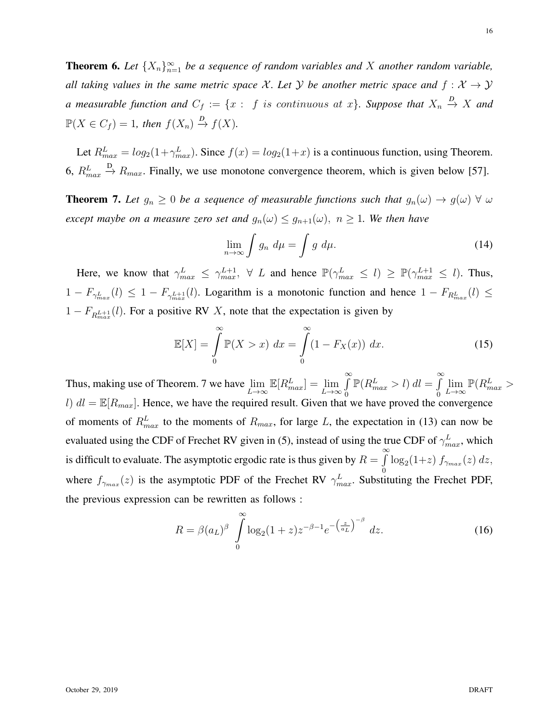**Theorem 6.** Let  $\{X_n\}_{n=1}^{\infty}$  be a sequence of random variables and X another random variable, *all taking values in the same metric space* X. Let Y be another metric space and  $f: X \rightarrow Y$ *a* measurable function and  $C_f := \{x : f \text{ is continuous at } x\}$ . Suppose that  $X_n \stackrel{D}{\rightarrow} X$  and  $\mathbb{P}(X \in C_f) = 1$ , then  $f(X_n) \stackrel{D}{\to} f(X)$ .

Let  $R_{max}^L = log_2(1 + \gamma_{max}^L)$ . Since  $f(x) = log_2(1+x)$  is a continuous function, using Theorem. 6,  $R_{max}^L$  $\stackrel{\text{D}}{\rightarrow}$   $R_{max}$ . Finally, we use monotone convergence theorem, which is given below [57].

**Theorem 7.** Let  $g_n \geq 0$  be a sequence of measurable functions such that  $g_n(\omega) \to g(\omega)$   $\forall \omega$ *except maybe on a measure zero set and*  $g_n(\omega) \leq g_{n+1}(\omega)$ ,  $n \geq 1$ *. We then have* 

$$
\lim_{n \to \infty} \int g_n \ d\mu = \int g \ d\mu. \tag{14}
$$

Here, we know that  $\gamma_{max}^L \leq \gamma_{max}^{L+1}$ ,  $\forall L$  and hence  $\mathbb{P}(\gamma_{max}^L \leq l) \geq \mathbb{P}(\gamma_{max}^{L+1} \leq l)$ . Thus,  $1-F_{\gamma_{max}^L}(l) \leq 1-F_{\gamma_{max}^{L+1}}(l)$ . Logarithm is a monotonic function and hence  $1-F_{R_{max}^L}(l) \leq$  $1 - F_{R_{max}^{L+1}}(l)$ . For a positive RV X, note that the expectation is given by

$$
\mathbb{E}[X] = \int_{0}^{\infty} \mathbb{P}(X > x) dx = \int_{0}^{\infty} (1 - F_X(x)) dx.
$$
 (15)

Thus, making use of Theorem. 7 we have  $\lim_{L \to \infty} \mathbb{E}[R_{max}^L] = \lim_{L \to \infty}$  $\int$ 0  $\mathbb{P}(R_{max}^L > l) \, dl = \int_{0}^{\infty}$ 0  $\lim_{L\to\infty} \mathbb{P}(R^L_{max} >$ l)  $dl = \mathbb{E}[R_{max}]$ . Hence, we have the required result. Given that we have proved the convergence of moments of  $R_{max}^L$  to the moments of  $R_{max}$ , for large L, the expectation in (13) can now be evaluated using the CDF of Frechet RV given in (5), instead of using the true CDF of  $\gamma_{max}^L$ , which is difficult to evaluate. The asymptotic ergodic rate is thus given by  $R = \int_{0}^{\infty}$ 0  $\log_2(1+z) f_{\gamma_{max}}(z) dz$ , where  $f_{\gamma_{max}}(z)$  is the asymptotic PDF of the Frechet RV  $\gamma_{max}^L$ . Substituting the Frechet PDF, the previous expression can be rewritten as follows :

$$
R = \beta(a_L)^{\beta} \int_{0}^{\infty} \log_2(1+z) z^{-\beta - 1} e^{-\left(\frac{z}{a_L}\right)^{-\beta}} dz.
$$
 (16)

16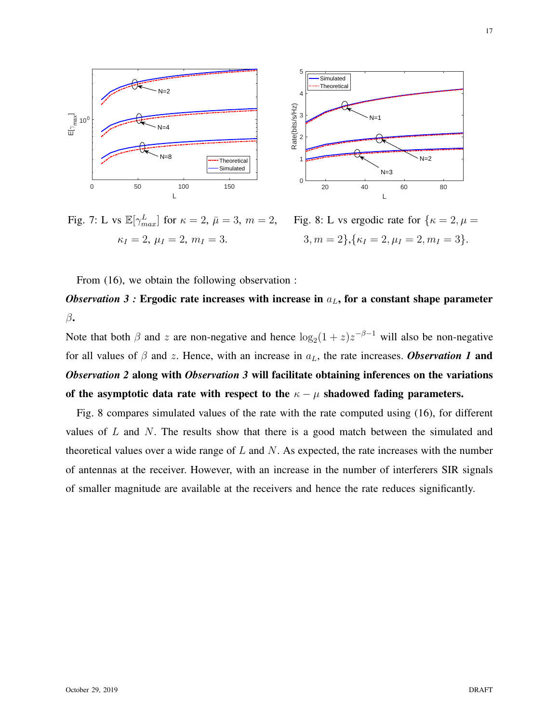

Fig. 7: L vs  $\mathbb{E}[\gamma_{max}^L]$  for  $\kappa = 2$ ,  $\bar{\mu} = 3$ ,  $m = 2$ ,  $\kappa_I = 2, \, \mu_I = 2, \, m_I = 3.$ Fig. 8: L vs ergodic rate for  $\{\kappa = 2, \mu =$  $3, m = 2, \{ \kappa_I = 2, \mu_I = 2, m_I = 3 \}.$ 

From (16), we obtain the following observation :

*Observation 3 :* Ergodic rate increases with increase in  $a<sub>L</sub>$ , for a constant shape parameter  $\beta$ .

Note that both  $\beta$  and z are non-negative and hence  $\log_2(1+z)z^{-\beta-1}$  will also be non-negative for all values of  $\beta$  and z. Hence, with an increase in  $a<sub>L</sub>$ , the rate increases. **Observation 1 and** *Observation 2* along with *Observation 3* will facilitate obtaining inferences on the variations of the asymptotic data rate with respect to the  $\kappa - \mu$  shadowed fading parameters.

Fig. 8 compares simulated values of the rate with the rate computed using (16), for different values of  $L$  and  $N$ . The results show that there is a good match between the simulated and theoretical values over a wide range of  $L$  and  $N$ . As expected, the rate increases with the number of antennas at the receiver. However, with an increase in the number of interferers SIR signals of smaller magnitude are available at the receivers and hence the rate reduces significantly.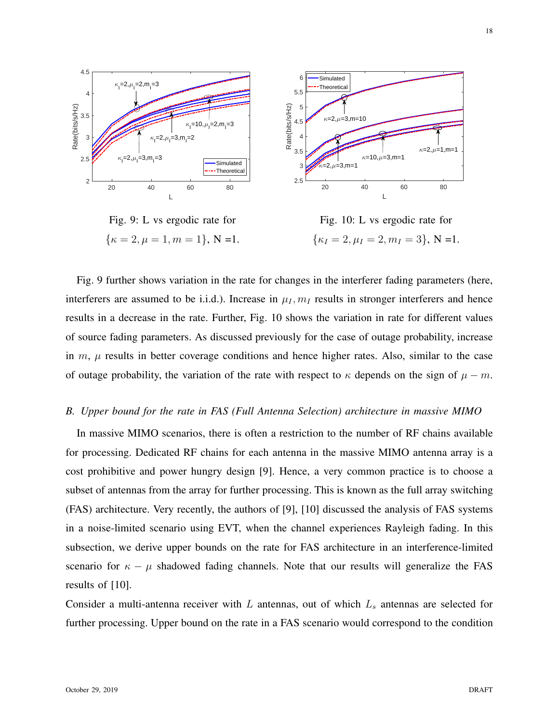

Fig. 9: L vs ergodic rate for  $\{\kappa = 2, \mu = 1, m = 1\}, N = 1.$ Fig. 10: L vs ergodic rate for  $\{\kappa_I = 2, \mu_I = 2, m_I = 3\}, N = 1.$ 

Fig. 9 further shows variation in the rate for changes in the interferer fading parameters (here, interferers are assumed to be i.i.d.). Increase in  $\mu_I, m_I$  results in stronger interferers and hence results in a decrease in the rate. Further, Fig. 10 shows the variation in rate for different values of source fading parameters. As discussed previously for the case of outage probability, increase in  $m$ ,  $\mu$  results in better coverage conditions and hence higher rates. Also, similar to the case of outage probability, the variation of the rate with respect to  $\kappa$  depends on the sign of  $\mu - m$ .

# *B. Upper bound for the rate in FAS (Full Antenna Selection) architecture in massive MIMO*

In massive MIMO scenarios, there is often a restriction to the number of RF chains available for processing. Dedicated RF chains for each antenna in the massive MIMO antenna array is a cost prohibitive and power hungry design [9]. Hence, a very common practice is to choose a subset of antennas from the array for further processing. This is known as the full array switching (FAS) architecture. Very recently, the authors of [9], [10] discussed the analysis of FAS systems in a noise-limited scenario using EVT, when the channel experiences Rayleigh fading. In this subsection, we derive upper bounds on the rate for FAS architecture in an interference-limited scenario for  $\kappa - \mu$  shadowed fading channels. Note that our results will generalize the FAS results of [10].

Consider a multi-antenna receiver with  $L$  antennas, out of which  $L<sub>s</sub>$  antennas are selected for further processing. Upper bound on the rate in a FAS scenario would correspond to the condition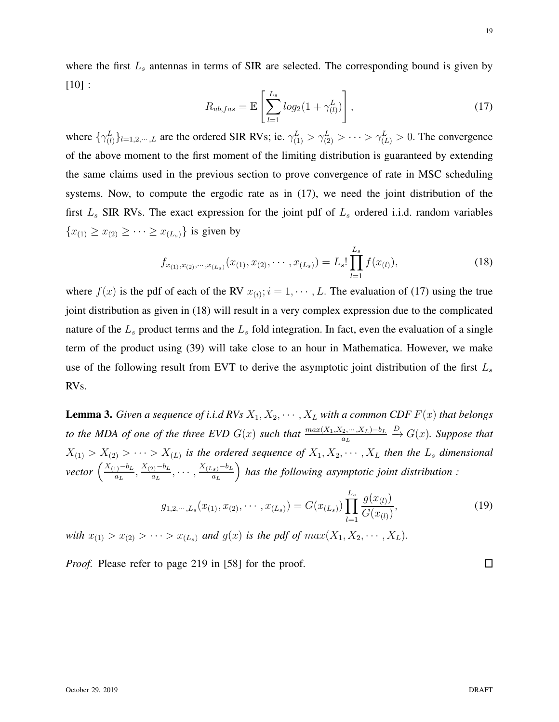where the first  $L_s$  antennas in terms of SIR are selected. The corresponding bound is given by [10] :

$$
R_{ub,fas} = \mathbb{E}\left[\sum_{l=1}^{L_s} log_2(1+\gamma_{(l)}^L)\right],\tag{17}
$$

where  $\{\gamma_{(l)}^L\}_{l=1,2,\dots,L}$  are the ordered SIR RVs; ie.  $\gamma_{(1)}^L > \gamma_{(2)}^L > \cdots > \gamma_{(L)}^L > 0$ . The convergence of the above moment to the first moment of the limiting distribution is guaranteed by extending the same claims used in the previous section to prove convergence of rate in MSC scheduling systems. Now, to compute the ergodic rate as in (17), we need the joint distribution of the first  $L<sub>s</sub>$  SIR RVs. The exact expression for the joint pdf of  $L<sub>s</sub>$  ordered i.i.d. random variables  ${x_{(1)} \ge x_{(2)} \ge \cdots \ge x_{(L_s)}}$  is given by

$$
f_{x_{(1)},x_{(2)},\cdots,x_{(L_s)}}(x_{(1)},x_{(2)},\cdots,x_{(L_s)}) = L_s! \prod_{l=1}^{L_s} f(x_{(l)}),
$$
\n(18)

where  $f(x)$  is the pdf of each of the RV  $x_{(i)}$ ;  $i = 1, \dots, L$ . The evaluation of (17) using the true joint distribution as given in (18) will result in a very complex expression due to the complicated nature of the  $L<sub>s</sub>$  product terms and the  $L<sub>s</sub>$  fold integration. In fact, even the evaluation of a single term of the product using (39) will take close to an hour in Mathematica. However, we make use of the following result from EVT to derive the asymptotic joint distribution of the first  $L<sub>s</sub>$ RVs.

**Lemma 3.** *Given a sequence of i.i.d RVs*  $X_1, X_2, \cdots, X_L$  *with a common CDF*  $F(x)$  *that belongs to the MDA of one of the three EVD*  $G(x)$  *such that*  $\frac{max(X_1, X_2, \dots, X_L) - b_L}{a_L}$  $\stackrel{D}{\rightarrow} G(x)$ *. Suppose that*  $X_{(1)} > X_{(2)} > \cdots > X_{(L)}$  is the ordered sequence of  $X_1, X_2, \cdots, X_L$  then the  $L_s$  dimensional  $vector \left(\frac{X_{(1)}-b_L}{a_L}\right)$  $\frac{a_1-b_L}{a_L}, \frac{X_{(2)}-b_L}{a_L}$  $\frac{a_2-b_L}{a_L}, \cdots, \frac{X_{(L_s)}-b_L}{a_L}$ a<sup>L</sup> *has the following asymptotic joint distribution :*

$$
g_{1,2,\cdots,L_s}(x_{(1)},x_{(2)},\cdots,x_{(L_s)})=G(x_{(L_s)})\prod_{l=1}^{L_s}\frac{g(x_{(l)})}{G(x_{(l)})},\tag{19}
$$

*with*  $x_{(1)} > x_{(2)} > \cdots > x_{(L_s)}$  *and*  $g(x)$  *is the pdf of*  $max(X_1, X_2, \cdots, X_L)$ *.* 

*Proof.* Please refer to page 219 in [58] for the proof.

 $\Box$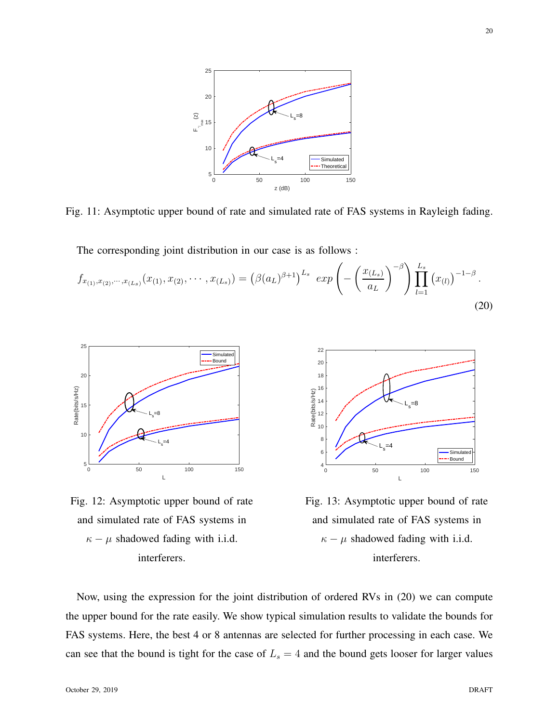

Fig. 11: Asymptotic upper bound of rate and simulated rate of FAS systems in Rayleigh fading.

The corresponding joint distribution in our case is as follows :

$$
f_{x_{(1)},x_{(2)},\cdots,x_{(L_s)}}(x_{(1)},x_{(2)},\cdots,x_{(L_s)}) = \left(\beta(a_L)^{\beta+1}\right)^{L_s} \exp\left(-\left(\frac{x_{(L_s)}}{a_L}\right)^{-\beta}\right) \prod_{l=1}^{L_s} \left(x_{(l)}\right)^{-1-\beta}.
$$
\n(20)







Fig. 13: Asymptotic upper bound of rate and simulated rate of FAS systems in  $\kappa - \mu$  shadowed fading with i.i.d. interferers.

Now, using the expression for the joint distribution of ordered RVs in (20) we can compute the upper bound for the rate easily. We show typical simulation results to validate the bounds for FAS systems. Here, the best 4 or 8 antennas are selected for further processing in each case. We can see that the bound is tight for the case of  $L_s = 4$  and the bound gets looser for larger values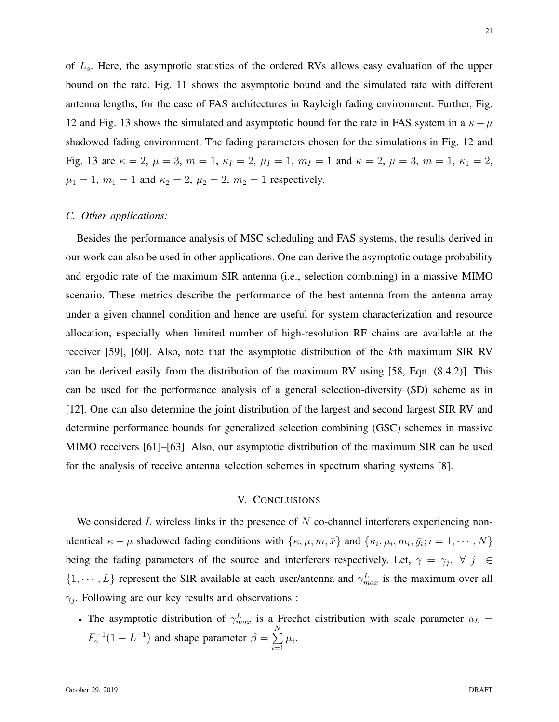of  $L<sub>s</sub>$ . Here, the asymptotic statistics of the ordered RVs allows easy evaluation of the upper bound on the rate. Fig. 11 shows the asymptotic bound and the simulated rate with different antenna lengths, for the case of FAS architectures in Rayleigh fading environment. Further, Fig. 12 and Fig. 13 shows the simulated and asymptotic bound for the rate in FAS system in a  $\kappa - \mu$ shadowed fading environment. The fading parameters chosen for the simulations in Fig. 12 and Fig. 13 are  $\kappa = 2$ ,  $\mu = 3$ ,  $m = 1$ ,  $\kappa_I = 2$ ,  $\mu_I = 1$ ,  $m_I = 1$  and  $\kappa = 2$ ,  $\mu = 3$ ,  $m = 1$ ,  $\kappa_1 = 2$ ,  $\mu_1 = 1$ ,  $m_1 = 1$  and  $\kappa_2 = 2$ ,  $\mu_2 = 2$ ,  $m_2 = 1$  respectively.

### *C. Other applications:*

Besides the performance analysis of MSC scheduling and FAS systems, the results derived in our work can also be used in other applications. One can derive the asymptotic outage probability and ergodic rate of the maximum SIR antenna (i.e., selection combining) in a massive MIMO scenario. These metrics describe the performance of the best antenna from the antenna array under a given channel condition and hence are useful for system characterization and resource allocation, especially when limited number of high-resolution RF chains are available at the receiver [59], [60]. Also, note that the asymptotic distribution of the kth maximum SIR RV can be derived easily from the distribution of the maximum RV using [58, Eqn. (8.4.2)]. This can be used for the performance analysis of a general selection-diversity (SD) scheme as in [12]. One can also determine the joint distribution of the largest and second largest SIR RV and determine performance bounds for generalized selection combining (GSC) schemes in massive MIMO receivers [61]–[63]. Also, our asymptotic distribution of the maximum SIR can be used for the analysis of receive antenna selection schemes in spectrum sharing systems [8].

## V. CONCLUSIONS

We considered L wireless links in the presence of  $N$  co-channel interferers experiencing nonidentical  $\kappa - \mu$  shadowed fading conditions with  $\{\kappa, \mu, m, \bar{x}\}\$  and  $\{\kappa_i, \mu_i, m_i, \bar{y}_i; i = 1, \cdots, N\}$ being the fading parameters of the source and interferers respectively. Let,  $\gamma = \gamma_j$ ,  $\forall j \in \mathbb{C}$  $\{1, \dots, L\}$  represent the SIR available at each user/antenna and  $\gamma_{max}^L$  is the maximum over all  $\gamma_j$ . Following are our key results and observations :

• The asymptotic distribution of  $\gamma_{max}^L$  is a Frechet distribution with scale parameter  $a_L$  =  $F_{\gamma}^{-1}(1 - L^{-1})$  and shape parameter  $\beta = \sum_{n=1}^{N}$  $i=1$  $\mu_i$ .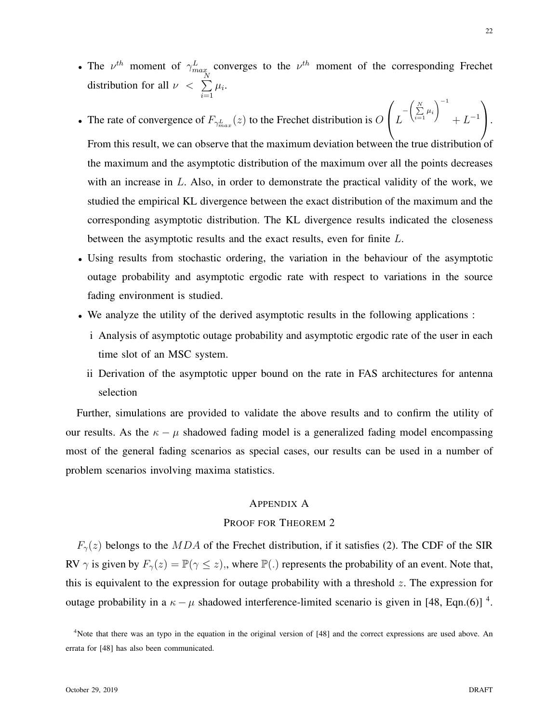- The  $\nu^{th}$  moment of  $\gamma_{max}^L$  converges to the  $\nu^{th}$  moment of the corresponding Frechet distribution for all  $\nu < \sum_{i=1}^{N}$  $i=1$  $\mu_i$ .
- The rate of convergence of  $F_{\gamma_{max}^L}(z)$  to the Frechet distribution is O  $\sqrt{ }$  $\vert L$  $-\left(\sum_{i=1}^N \mu_i\right)$  $\setminus$ <sup>-1</sup>  $+ L^{-1}$  $\setminus$  $\cdot$ From this result, we can observe that the maximum deviation between the true distribution of the maximum and the asymptotic distribution of the maximum over all the points decreases with an increase in  $L$ . Also, in order to demonstrate the practical validity of the work, we studied the empirical KL divergence between the exact distribution of the maximum and the corresponding asymptotic distribution. The KL divergence results indicated the closeness
	- between the asymptotic results and the exact results, even for finite L.
- Using results from stochastic ordering, the variation in the behaviour of the asymptotic outage probability and asymptotic ergodic rate with respect to variations in the source fading environment is studied.
- We analyze the utility of the derived asymptotic results in the following applications :
	- i Analysis of asymptotic outage probability and asymptotic ergodic rate of the user in each time slot of an MSC system.
	- ii Derivation of the asymptotic upper bound on the rate in FAS architectures for antenna selection

Further, simulations are provided to validate the above results and to confirm the utility of our results. As the  $\kappa - \mu$  shadowed fading model is a generalized fading model encompassing most of the general fading scenarios as special cases, our results can be used in a number of problem scenarios involving maxima statistics.

# APPENDIX A

# PROOF FOR THEOREM 2

 $F_{\gamma}(z)$  belongs to the MDA of the Frechet distribution, if it satisfies (2). The CDF of the SIR RV  $\gamma$  is given by  $F_{\gamma}(z) = \mathbb{P}(\gamma \leq z)$ , where  $\mathbb{P}(\cdot)$  represents the probability of an event. Note that, this is equivalent to the expression for outage probability with a threshold  $z$ . The expression for outage probability in a  $\kappa - \mu$  shadowed interference-limited scenario is given in [48, Eqn.(6)]<sup>4</sup>.

<sup>&</sup>lt;sup>4</sup>Note that there was an typo in the equation in the original version of [48] and the correct expressions are used above. An errata for [48] has also been communicated.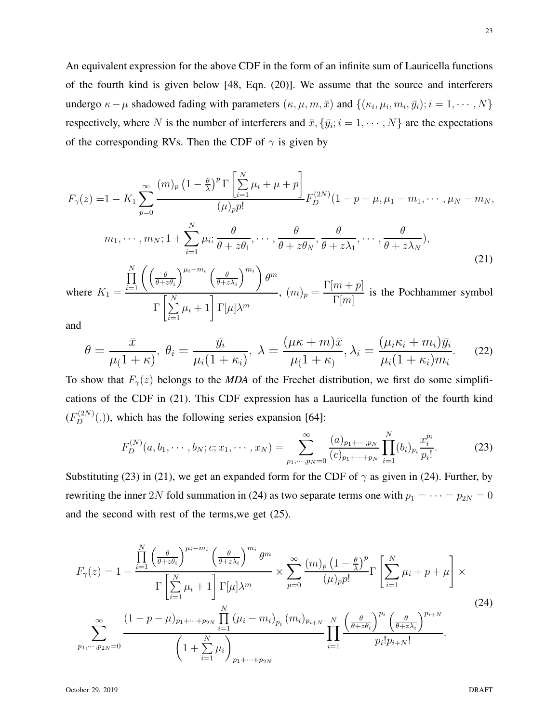An equivalent expression for the above CDF in the form of an infinite sum of Lauricella functions of the fourth kind is given below [48, Eqn. (20)]. We assume that the source and interferers undergo  $\kappa - \mu$  shadowed fading with parameters  $(\kappa, \mu, m, \bar{x})$  and  $\{(\kappa_i, \mu_i, m_i, \bar{y}_i); i = 1, \cdots, N\}$ respectively, where N is the number of interferers and  $\bar{x}$ ,  $\{\bar{y}_i; i = 1, \cdots, N\}$  are the expectations of the corresponding RVs. Then the CDF of  $\gamma$  is given by

$$
F_{\gamma}(z) = 1 - K_1 \sum_{p=0}^{\infty} \frac{(m)_p (1 - \frac{\theta}{\lambda})^p \Gamma \left[ \sum_{i=1}^N \mu_i + \mu + p \right]}{(\mu)_p p!} F_D^{(2N)} (1 - p - \mu, \mu_1 - m_1, \cdots, \mu_N - m_N, \nm_1, \cdots, m_N; 1 + \sum_{i=1}^N \mu_i; \frac{\theta}{\theta + z \theta_1}, \cdots, \frac{\theta}{\theta + z \theta_N}, \frac{\theta}{\theta + z \lambda_1}, \cdots, \frac{\theta}{\theta + z \lambda_N},
$$
\n(21)

where  $K_1 =$  $\prod_{i=1}^N\Bigg(\Bigg(\frac{\theta}{\theta+z}$  $\theta + z\theta_i$  $\bigwedge^{\mu_i-m_i}$  (  $\theta$  $\theta + z\lambda_i$  $\langle m_i \rangle$  $\theta^m$  $\Gamma$   $\left[\sum_{i=1}^{N}\right]$  $i=1$  $\mu_i + 1$   $\Gamma[\mu] \lambda^m$ ,  $(m)_p = \frac{\Gamma[m+p]}{\Gamma[m]}$  $\Gamma[m]$ is the Pochhammer symbol

and

$$
\theta = \frac{\bar{x}}{\mu(1+\kappa)}, \ \theta_i = \frac{\bar{y}_i}{\mu_i(1+\kappa_i)}, \ \lambda = \frac{(\mu\kappa + m)\bar{x}}{\mu(1+\kappa)}, \lambda_i = \frac{(\mu_i\kappa_i + m_i)\bar{y}_i}{\mu_i(1+\kappa_i)m_i}.\tag{22}
$$

To show that  $F_{\gamma}(z)$  belongs to the *MDA* of the Frechet distribution, we first do some simplifications of the CDF in (21). This CDF expression has a Lauricella function of the fourth kind  $(F_D^{(2N)}(.))$ , which has the following series expansion [64]:

$$
F_D^{(N)}(a, b_1, \cdots, b_N; c; x_1, \cdots, x_N) = \sum_{p_1, \cdots, p_N = 0}^{\infty} \frac{(a)_{p_1 + \cdots, p_N}}{(c)_{p_1 + \cdots + p_N}} \prod_{i=1}^N (b_i)_{p_i} \frac{x_i^{p_i}}{p_i!}.
$$
 (23)

Substituting (23) in (21), we get an expanded form for the CDF of  $\gamma$  as given in (24). Further, by rewriting the inner 2N fold summation in (24) as two separate terms one with  $p_1 = \cdots = p_{2N} = 0$ and the second with rest of the terms,we get (25).

$$
F_{\gamma}(z) = 1 - \frac{\prod_{i=1}^{N} \left(\frac{\theta}{\theta + z\theta_{i}}\right)^{\mu_{i} - m_{i}} \left(\frac{\theta}{\theta + z\lambda_{i}}\right)^{m_{i}} \theta^{m}}{\Gamma\left[\sum_{i=1}^{N} \mu_{i} + 1\right] \Gamma[\mu] \lambda^{m}} \times \sum_{p=0}^{\infty} \frac{(m)_{p} \left(1 - \frac{\theta}{\lambda}\right)^{p}}{(\mu)_{p} p!} \Gamma\left[\sum_{i=1}^{N} \mu_{i} + p + \mu\right] \times \sum_{p=0}^{\infty} \frac{(1 - p - \mu)_{p_{1} + \dots + p_{2N}} \prod_{i=1}^{N} (\mu_{i} - m_{i})_{p_{i}} (m_{i})_{p_{i+N}}}{\prod_{i=1}^{N} \mu_{i} \left(\frac{\theta}{\theta + z\theta_{i}}\right)^{p_{i}} \left(\frac{\theta}{\theta + z\lambda_{i}}\right)^{p_{i+N}} \cdot \sum_{i=1}^{\infty} \frac{(24)^{\sum_{i=1}^{N} \mu_{i}}}{\prod_{i=1}^{N} \mu_{i}} \frac{\left(\frac{\theta}{\theta + z\theta_{i}}\right)^{p_{i}} \left(\frac{\theta}{\theta + z\lambda_{i}}\right)^{p_{i+N}}}{p_{i}! p_{i+N}!}.
$$
\n
$$
(24)
$$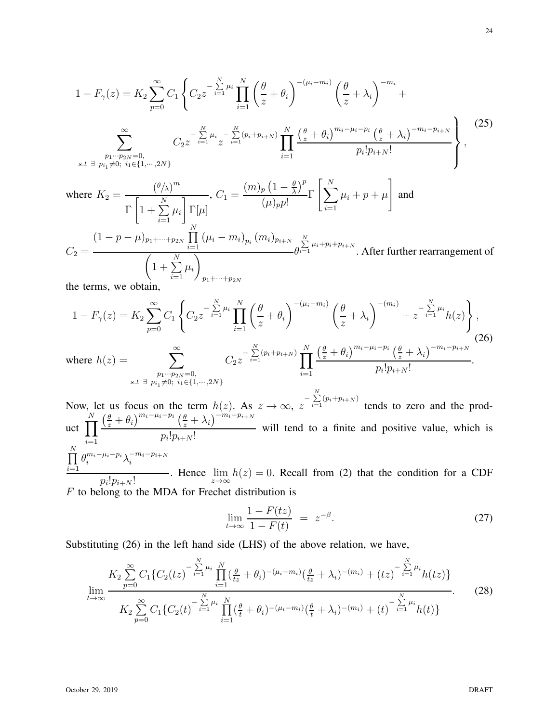$$
1 - F_{\gamma}(z) = K_2 \sum_{p=0}^{\infty} C_1 \left\{ C_2 z^{-\sum_{i=1}^{N} \mu_i} \prod_{i=1}^{N} \left( \frac{\theta}{z} + \theta_i \right)^{-(\mu_i - m_i)} \left( \frac{\theta}{z} + \lambda_i \right)^{-m_i} + \sum_{p=0}^{\infty} C_2 z^{-\sum_{i=1}^{N} \mu_i} \sum_{z=i}^{-(\sum_{i=1}^{N} (\mu_i + p_{i+N})} \prod_{i=1}^{N} \frac{\left( \frac{\theta}{z} + \theta_i \right)^{m_i - \mu_i - p_i} \left( \frac{\theta}{z} + \lambda_i \right)^{-m_i - p_{i+N}}}{p_i! p_{i+N}!} \right\},
$$
\n
$$
s.t. \exists p_{i_1} \neq 0; i_1 \in \{1, \dots, 2N\}
$$
\nwhere  $K_2 = \frac{\left( \frac{\theta}{\lambda} \right)^m}{\Gamma \left[ 1 + \sum_{i=1}^{N} \mu_i \right] \Gamma[\mu]}$ ,  $C_1 = \frac{\left( m \right)_p \left( 1 - \frac{\theta}{\lambda} \right)^p}{(\mu) p!} \Gamma \left[ \sum_{i=1}^{N} \mu_i + p + \mu \right]$  and

$$
\mathcal{L}_{i} = 1 \int_{N} \prod_{i=1}^{N} (\mu_i - m_i)_{p_i} (m_i)_{p_{i+N}} \sum_{j=1}^{N} \mu_i + p_i + p_{i+N}
$$
\n
$$
C_2 = \frac{\left(1 - p - \mu\right)_{p_1 + \dots + p_{2N}}}{\left(1 + \sum_{i=1}^{N} \mu_i\right)_{p_1 + \dots + p_{2N}}}
$$
\nAfter further rearrangement of the terms, we obtain

the terms, we obtain,

$$
1 - F_{\gamma}(z) = K_2 \sum_{p=0}^{\infty} C_1 \left\{ C_2 z^{-\sum_{i=1}^{N} \mu_i} \prod_{i=1}^{N} \left( \frac{\theta}{z} + \theta_i \right)^{-(\mu_i - m_i)} \left( \frac{\theta}{z} + \lambda_i \right)^{-(m_i)} + z^{-\sum_{i=1}^{N} \mu_i} h(z) \right\},
$$
\nwhere  $h(z) = \sum_{\substack{p_1 \cdots p_{2N} = 0, \\ s.t \ \exists p_{i_1} \neq 0; \ i_1 \in \{1, \cdots, 2N\}}} C_2 z^{-\sum_{i=1}^{N} (p_i + p_{i+N})} \prod_{i=1}^{N} \frac{\left( \frac{\theta}{z} + \theta_i \right)^{m_i - \mu_i - p_i} \left( \frac{\theta}{z} + \lambda_i \right)^{-m_i - p_{i+N}}}{p_i! p_{i+N}!}.$ \n
$$
(26)
$$

Now, let us focus on the term  $h(z)$ . As  $z \to \infty$ ,  $z^{-\sum_{i=1}^{N} (p_i + p_{i+N})}$  tends to zero and the product  $\prod$ N  $i=1$  $\left(\frac{\theta}{z}+\theta_i\right)^{m_i-\mu_i-p_i}\left(\frac{\theta}{z}+\lambda_i\right)^{-m_i-p_{i+N}}$  $p_i!p_{i+N}!$ will tend to a finite and positive value, which is  $\prod$  $\theta_i^{m_i-\mu_i-p_i}\lambda_i^{-m_i-p_{i+N}}$ i

 $i=1$  $\frac{p_i! p_{i+N}!}{p_i! p_{i+N}!}$ . Hence  $\lim_{z\to\infty} h(z) = 0$ . Recall from (2) that the condition for a CDF  $F$  to belong to the MDA for Frechet distribution is

$$
\lim_{t \to \infty} \frac{1 - F(tz)}{1 - F(t)} = z^{-\beta}.
$$
\n(27)

Substituting (26) in the left hand side (LHS) of the above relation, we have,

$$
\lim_{t \to \infty} \frac{K_2 \sum_{p=0}^{\infty} C_1 \{C_2(tz)^{-\sum_{i=1}^{N} \mu_i} \prod_{i=1}^{N} (\frac{\theta}{tz} + \theta_i)^{-(\mu_i - m_i)} (\frac{\theta}{tz} + \lambda_i)^{-(m_i)} + (tz)^{-\sum_{i=1}^{N} \mu_i} h(tz) \}}{K_2 \sum_{p=0}^{\infty} C_1 \{C_2(t)^{-\sum_{i=1}^{N} \mu_i} \prod_{i=1}^{N} (\frac{\theta}{t} + \theta_i)^{-(\mu_i - m_i)} (\frac{\theta}{t} + \lambda_i)^{-(m_i)} + (t)^{-\sum_{i=1}^{N} \mu_i} h(t) \}}
$$
(28)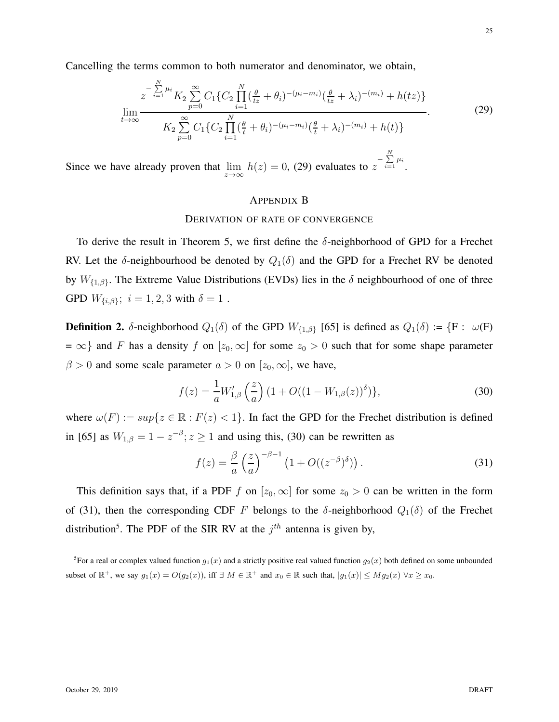Cancelling the terms common to both numerator and denominator, we obtain,

$$
\lim_{t \to \infty} \frac{z^{-\sum\limits_{i=1}^{N} \mu_i} K_2 \sum\limits_{p=0}^{\infty} C_1 \{ C_2 \prod\limits_{i=1}^{N} (\frac{\theta}{tz} + \theta_i)^{-(\mu_i - m_i)} (\frac{\theta}{tz} + \lambda_i)^{-(m_i)} + h(tz) \}}{K_2 \sum\limits_{p=0}^{\infty} C_1 \{ C_2 \prod\limits_{i=1}^{N} (\frac{\theta}{t} + \theta_i)^{-(\mu_i - m_i)} (\frac{\theta}{t} + \lambda_i)^{-(m_i)} + h(t) \}}
$$
\n(29)

Since we have already proven that  $\lim_{z \to \infty} h(z) = 0$ , (29) evaluates to  $z^{-\sum_{i=1}^{N} \mu_i}$ .

# APPENDIX B

#### DERIVATION OF RATE OF CONVERGENCE

To derive the result in Theorem 5, we first define the  $\delta$ -neighborhood of GPD for a Frechet RV. Let the  $\delta$ -neighbourhood be denoted by  $Q_1(\delta)$  and the GPD for a Frechet RV be denoted by  $W_{\{1,\beta\}}$ . The Extreme Value Distributions (EVDs) lies in the  $\delta$  neighbourhood of one of three GPD  $W_{\{i,\beta\}}$ ;  $i = 1, 2, 3$  with  $\delta = 1$ .

**Definition 2.** δ-neighborhood  $Q_1(\delta)$  of the GPD  $W_{\{1,\beta\}}$  [65] is defined as  $Q_1(\delta) := \{F : \omega(F)$  $= \infty$ } and F has a density f on  $[z_0, \infty]$  for some  $z_0 > 0$  such that for some shape parameter  $\beta > 0$  and some scale parameter  $a > 0$  on  $[z_0, \infty]$ , we have,

$$
f(z) = \frac{1}{a} W'_{1,\beta} \left(\frac{z}{a}\right) \left(1 + O((1 - W_{1,\beta}(z))^{\delta})\right),\tag{30}
$$

where  $\omega(F) := \sup\{z \in \mathbb{R} : F(z) < 1\}$ . In fact the GPD for the Frechet distribution is defined in [65] as  $W_{1,\beta} = 1 - z^{-\beta}; z \ge 1$  and using this, (30) can be rewritten as

$$
f(z) = \frac{\beta}{a} \left(\frac{z}{a}\right)^{-\beta - 1} \left(1 + O((z^{-\beta})^{\delta})\right). \tag{31}
$$

This definition says that, if a PDF f on  $[z_0, \infty]$  for some  $z_0 > 0$  can be written in the form of (31), then the corresponding CDF F belongs to the  $\delta$ -neighborhood  $Q_1(\delta)$  of the Frechet distribution<sup>5</sup>. The PDF of the SIR RV at the  $j<sup>th</sup>$  antenna is given by,

<sup>5</sup> For a real or complex valued function  $g_1(x)$  and a strictly positive real valued function  $g_2(x)$  both defined on some unbounded subset of  $\mathbb{R}^+$ , we say  $g_1(x) = O(g_2(x))$ , iff  $\exists M \in \mathbb{R}^+$  and  $x_0 \in \mathbb{R}$  such that,  $|g_1(x)| \leq Mg_2(x)$   $\forall x \geq x_0$ .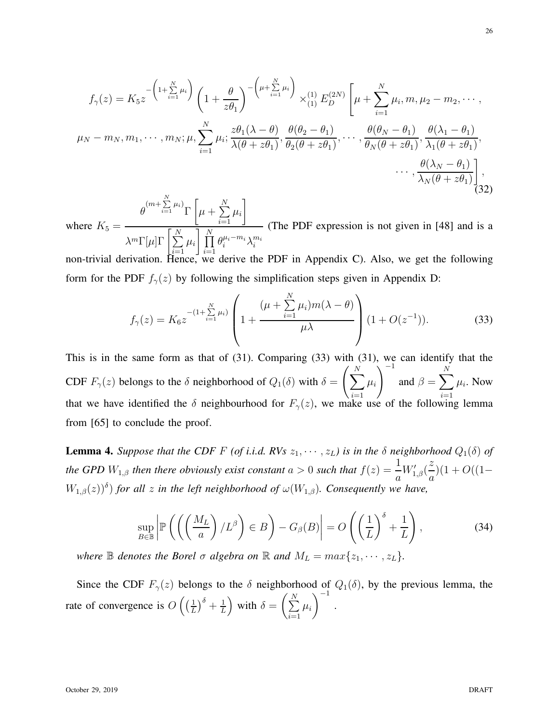$$
f_{\gamma}(z) = K_5 z^{-\left(1 + \sum_{i=1}^{N} \mu_i\right)} \left(1 + \frac{\theta}{z\theta_1}\right)^{-\left(\mu + \sum_{i=1}^{N} \mu_i\right)} \times_{(1)}^{(1)} E_D^{(2N)} \left[\mu + \sum_{i=1}^{N} \mu_i, m, \mu_2 - m_2, \cdots, \mu_N - m_N, m_1, \cdots, m_N; \mu, \sum_{i=1}^{N} \mu_i; \frac{z\theta_1(\lambda - \theta)}{\lambda(\theta + z\theta_1)}, \frac{\theta(\theta_2 - \theta_1)}{\theta_2(\theta + z\theta_1)}, \cdots, \frac{\theta(\theta_N - \theta_1)}{\theta_N(\theta + z\theta_1)}, \frac{\theta(\lambda_1 - \theta_1)}{\lambda_1(\theta + z\theta_1)}, \cdots, \frac{\theta(\lambda_N - \theta_1)}{\lambda_N(\theta + z\theta_1)}\right],
$$

where  $K_5 =$  $\theta^{(m+\sum\limits_{i=1}^{N}\mu_i)}\Gamma$  $\sqrt{ }$  $\mu+\sum^{N}$  $i=1$  $\mu_i$ 1  $\lambda^m\Gamma[\mu]\Gamma\left[\sum^N\right]$  $i=1$  $\mu_i$   $\prod^N$  $i=1$  $\theta_i^{\mu_i-m_i}\lambda_i^{m_i}$ (The PDF expression is not given in [48] and is a

non-trivial derivation. Hence, we derive the PDF in Appendix C). Also, we get the following form for the PDF  $f_{\gamma}(z)$  by following the simplification steps given in Appendix D:

$$
f_{\gamma}(z) = K_6 z^{-\left(1 + \sum\limits_{i=1}^{N} \mu_i\right)} \left(1 + \frac{\left(\mu + \sum\limits_{i=1}^{N} \mu_i\right) m(\lambda - \theta)}{\mu \lambda}\right) (1 + O(z^{-1})).\right)
$$
(33)

This is in the same form as that of (31). Comparing (33) with (31), we can identify that the CDF  $F_{\gamma}(z)$  belongs to the  $\delta$  neighborhood of  $Q_1(\delta)$  with  $\delta = \left(\sum_{i=1}^{N} \delta_i\right)$  $i=1$  $\mu_i$  $\setminus$ <sup>-1</sup> and  $\beta = \sum$ N  $i=1$  $\mu_i$ . Now that we have identified the  $\delta$  neighbourhood for  $F_{\gamma}(z)$ , we make use of the following lemma from [65] to conclude the proof.

**Lemma 4.** *Suppose that the CDF F (of i.i.d. RVs*  $z_1, \dots, z_L$ ) *is in the*  $\delta$  *neighborhood*  $Q_1(\delta)$  *of the GPD*  $W_{1,\beta}$  *then there obviously exist constant*  $a > 0$  *such that*  $f(z) = \frac{1}{a}$  $W'_{1,\beta}$ ( z a  $)(1 + O((1 W_{1,\beta}(z)$ <sup> $\delta$ </sup>) for all z in the left neighborhood of  $\omega(W_{1,\beta})$ . Consequently we have,

$$
\sup_{B \in \mathbb{B}} \left| \mathbb{P}\left( \left( \left( \frac{M_L}{a} \right) / L^{\beta} \right) \in B \right) - G_{\beta}(B) \right| = O\left( \left( \frac{1}{L} \right)^{\delta} + \frac{1}{L} \right),\tag{34}
$$

*where*  $\mathbb B$  *denotes the Borel*  $\sigma$  *algebra on*  $\mathbb R$  *and*  $M_L = max\{z_1, \dots, z_L\}$ *.* 

Since the CDF  $F_{\gamma}(z)$  belongs to the  $\delta$  neighborhood of  $Q_1(\delta)$ , by the previous lemma, the rate of convergence is  $O\left(\left(\frac{1}{L}\right)\right)$  $\frac{1}{L}\big)^{\delta}+\frac{1}{L}$ L ) with  $\delta = \left(\sum_{i=1}^{N} \delta_i\right)$  $i=1$  $\mu_i$  $\setminus^{-1}$ .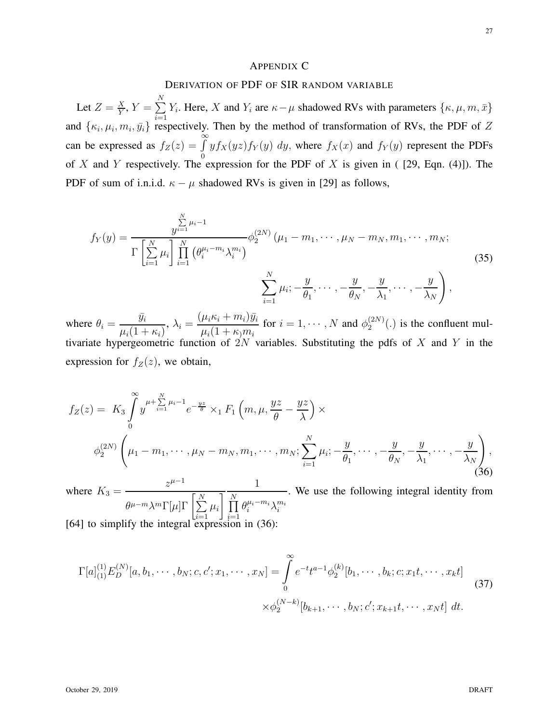# APPENDIX C

# DERIVATION OF PDF OF SIR RANDOM VARIABLE

Let  $Z = \frac{X}{Y}$  $\frac{X}{Y}$ ,  $Y = \sum_{i=1}^{N}$  $i=1$  $Y_i$ . Here, X and  $Y_i$  are  $\kappa - \mu$  shadowed RVs with parameters  $\{\kappa, \mu, m, \bar{x}\}$ and  $\{\kappa_i, \mu_i, m_i, \bar{y}_i\}$  respectively. Then by the method of transformation of RVs, the PDF of Z can be expressed as  $f_Z(z) = \int_0^\infty$ 0  $y f_X(yz) f_Y(y) dy$ , where  $f_X(x)$  and  $f_Y(y)$  represent the PDFs of X and Y respectively. The expression for the PDF of X is given in ( [29, Eqn. (4)]). The PDF of sum of i.n.i.d.  $\kappa - \mu$  shadowed RVs is given in [29] as follows,

$$
f_Y(y) = \frac{\sum_{j=1}^{N} \mu_i - 1}{\Gamma\left[\sum_{i=1}^{N} \mu_i\right] \prod_{i=1}^{N} \left(\theta_i^{\mu_i - m_i} \lambda_i^{m_i}\right)} \phi_2^{(2N)}(\mu_1 - m_1, \cdots, \mu_N - m_N, m_1, \cdots, m_N; \\
\sum_{i=1}^{N} \mu_i; -\frac{y}{\theta_1}, \cdots, -\frac{y}{\theta_N}, -\frac{y}{\lambda_1}, \cdots, -\frac{y}{\lambda_N}\right),
$$
\n(35)

where  $\theta_i = \frac{\bar{y}_i}{\sqrt{1-\bar{y}_i}}$  $\mu_i(1 + \kappa_i)$  $\lambda_i = \frac{(\mu_i \kappa_i + m_i) \bar{y}_i}{\mu_i (1 + \mu_i)}$  $\mu_i(1+\kappa_0 m_i$ for  $i = 1, \cdots, N$  and  $\phi_2^{(2N)}$  $2^{(2N)}(.)$  is the confluent multivariate hypergeometric function of  $2N$  variables. Substituting the pdfs of X and Y in the expression for  $f_Z(z)$ , we obtain,

$$
f_Z(z) = K_3 \int_0^\infty y^{\mu + \sum_{i=1}^N \mu_i - 1} e^{-\frac{yz}{\theta}} \times_1 F_1 \left( m, \mu, \frac{yz}{\theta} - \frac{yz}{\lambda} \right) \times
$$
  

$$
\phi_2^{(2N)} \left( \mu_1 - m_1, \cdots, \mu_N - m_N, m_1, \cdots, m_N; \sum_{i=1}^N \mu_i; -\frac{y}{\theta_1}, \cdots, -\frac{y}{\theta_N}, -\frac{y}{\lambda_1}, \cdots, -\frac{y}{\lambda_N} \right),
$$
(36)

where  $K_3 = \frac{z^{\mu-1}}{z^{\mu}}$  $\theta^{\mu-m} \lambda^m \Gamma[\mu] \Gamma\left[\sum^N \right]$  $i=1$  $\mu_i$ 1 1  $\prod$  $i=1$  $\theta_i^{\mu_i-m_i}\lambda_i^{m_i}$ . We use the following integral identity from [64] to simplify the integral expression in (36):

$$
\Gamma[a]_{(1)}^{(1)}E_D^{(N)}[a, b_1, \cdots, b_N; c, c'; x_1, \cdots, x_N] = \int_0^\infty e^{-t}t^{a-1}\phi_2^{(k)}[b_1, \cdots, b_k; c; x_1t, \cdots, x_kt]
$$
  
 
$$
\times \phi_2^{(N-k)}[b_{k+1}, \cdots, b_N; c'; x_{k+1}t, \cdots, x_Nt] dt.
$$
 (37)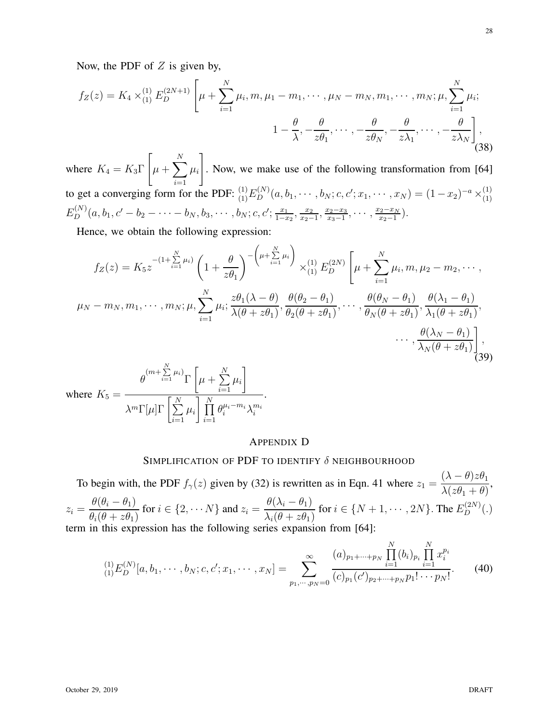$$
f_Z(z) = K_4 \times \binom{1}{1} E_D^{(2N+1)} \left[ \mu + \sum_{i=1}^N \mu_i, m, \mu_1 - m_1, \cdots, \mu_N - m_N, m_1, \cdots, m_N; \mu, \sum_{i=1}^N \mu_i; \right. \\
1 - \frac{\theta}{\lambda}, -\frac{\theta}{z\theta_1}, \cdots, -\frac{\theta}{z\theta_N}, -\frac{\theta}{z\lambda_1}, \cdots, -\frac{\theta}{z\lambda_N} \right],
$$
\n(38)

where  $K_4 = K_3 \Gamma$  $\lceil$  $\mu + \sum$ N to get a converging form for the PDF:  ${}^{(1)}_{(1)}E_D^{(N)}(a, b_1, \dots, b_N; c, c'; x_1, \dots, x_N) = (1-x_2)^{-a} \times {}^{(1)}_{(1)}$  $\mu_i$ 1 . Now, we make use of the following transformation from [64] (1)  $E_D^{(N)}(a,b_1,c'-b_2-\cdots-b_N,b_3,\cdots,b_N;c,c';\frac{x_1}{1-x_1}$  $\frac{x_1}{1-x_2}, \frac{x_2}{x_2-}$  $\frac{x_2}{x_2-1}, \frac{x_2-x_3}{x_3-1}$  $\frac{x_2-x_3}{x_3-1}, \cdots, \frac{x_2-x_N}{x_2-1}$  $rac{2-x_N}{x_2-1}$ .

Hence, we obtain the following expression:

$$
f_Z(z) = K_5 z^{-(1+\sum\limits_{i=1}^N \mu_i)} \left(1 + \frac{\theta}{z\theta_1}\right)^{-\left(\mu + \sum\limits_{i=1}^N \mu_i\right)} \times_{(1)}^{(1)} E_D^{(2N)} \left[\mu + \sum\limits_{i=1}^N \mu_i, m, \mu_2 - m_2, \cdots, \mu_N - m_N, m_1, \cdots, m_N; \mu, \sum\limits_{i=1}^N \mu_i; \frac{z\theta_1(\lambda - \theta)}{\lambda(\theta + z\theta_1)}, \frac{\theta(\theta_2 - \theta_1)}{\theta_2(\theta + z\theta_1)}, \cdots, \frac{\theta(\theta_N - \theta_1)}{\theta_N(\theta + z\theta_1)}, \frac{\theta(\lambda_1 - \theta_1)}{\lambda_1(\theta + z\theta_1)}, \cdots, \frac{\theta(\lambda_N - \theta_1)}{\lambda_N(\theta + z\theta_1)}\right],
$$
  

$$
\cdots, \frac{\theta(\lambda_N - \theta_1)}{\lambda_N(\theta + z\theta_1)}\right],
$$

where 
$$
K_5 = \frac{\theta^{(m + \sum_{i=1}^{N} \mu_i)} \Gamma\left[\mu + \sum_{i=1}^{N} \mu_i\right]}{\lambda^m \Gamma[\mu] \Gamma\left[\sum_{i=1}^{N} \mu_i\right] \prod_{i=1}^{N} \theta_i^{\mu_i - m_i} \lambda_i^{m_i}}.
$$

# APPENDIX D

# SIMPLIFICATION OF PDF TO IDENTIFY  $\delta$  neighbourhood

To begin with, the PDF  $f_{\gamma}(z)$  given by (32) is rewritten as in Eqn. 41 where  $z_1 = \frac{(\lambda - \theta)z\theta_1}{\lambda(\lambda - \theta)z\theta_1}$  $\lambda(z\theta_1+\theta)$ ,  $z_i =$  $\theta(\theta_i-\theta_1)$  $\theta_i(\theta + z\theta_1)$ for  $i \in \{2, \cdots N\}$  and  $z_i =$  $\theta(\lambda_i - \theta_1)$  $\lambda_i(\theta + z\theta_1)$ for  $i \in \{N+1, \cdots, 2N\}$ . The  $E_D^{(2N)}(.)$ term in this expression has the following series expansion from [64]:

$$
{}_{(1)}^{(1)}E_D^{(N)}[a, b_1, \cdots, b_N; c, c'; x_1, \cdots, x_N] = \sum_{p_1, \cdots, p_N = 0}^{\infty} \frac{(a)_{p_1 + \cdots + p_N} \prod_{i=1}^N (b_i)_{p_i} \prod_{i=1}^N x_i^{p_i}}{(c)_{p_1}(c')_{p_2 + \cdots + p_N} p_1! \cdots p_N!}.
$$
 (40)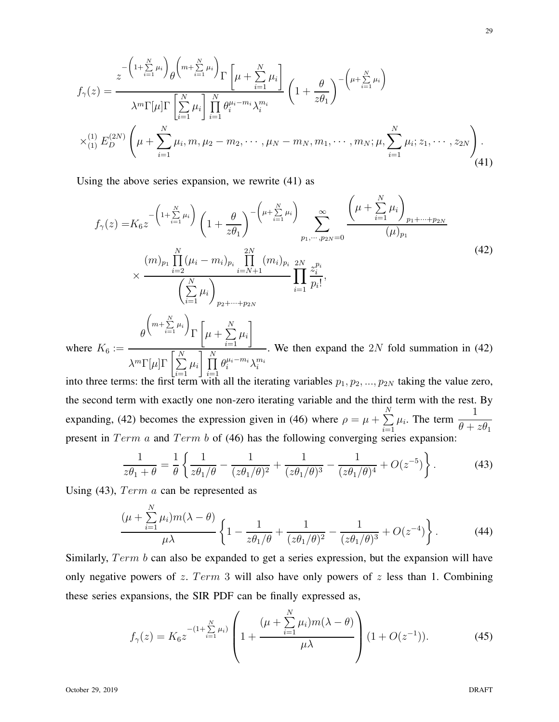$$
f_{\gamma}(z) = \frac{z^{-\left(1+\sum_{i=1}^{N}\mu_{i}\right)}\theta^{\left(m+\sum_{i=1}^{N}\mu_{i}\right)}\Gamma\left[\mu+\sum_{i=1}^{N}\mu_{i}\right]}{\lambda^{m}\Gamma[\mu]\Gamma\left[\sum_{i=1}^{N}\mu_{i}\right]\prod_{i=1}^{N}\theta_{i}^{\mu_{i}-m_{i}}\lambda_{i}^{m_{i}}}\left(1+\frac{\theta}{z\theta_{1}}\right)^{-\left(\mu+\sum_{i=1}^{N}\mu_{i}\right)} \times_{(1)}^{(1)}E_{D}^{(2N)}\left(\mu+\sum_{i=1}^{N}\mu_{i},m,\mu_{2}-m_{2},\cdots,\mu_{N}-m_{N},m_{1},\cdots,m_{N};\mu,\sum_{i=1}^{N}\mu_{i};z_{1},\cdots,z_{2N}\right).
$$
\n(41)

Using the above series expansion, we rewrite (41) as

$$
f_{\gamma}(z) = K_6 z^{-\left(1 + \sum_{i=1}^{N} \mu_i\right)} \left(1 + \frac{\theta}{z\theta_1}\right)^{-\left(\mu + \sum_{i=1}^{N} \mu_i\right)} \sum_{p_1, \dots, p_{2N} = 0}^{\infty} \frac{\left(\mu + \sum_{i=1}^{N} \mu_i\right)_{p_1 + \dots + p_{2N}}}{(\mu)_{p_1}} \times \frac{\left(m\right)_{p_1} \prod_{i=2}^{N} (\mu_i - m_i)_{p_i} \prod_{i=N+1}^{2N} (m_i)_{p_i}}{\left(\sum_{i=1}^{N} \mu_i\right)_{p_2 + \dots + p_{2N}}} \prod_{i=1}^{2N} \frac{z_i^{p_i}}{p_i!},
$$
\ne  $K_6 := \frac{\theta^{\left(m + \sum_{i=1}^{N} \mu_i\right)} \Gamma\left[\mu + \sum_{i=1}^{N} \mu_i\right]}{\prod_{i=1}^{N} \prod_{i=1}^{N} \mu_i}.$  We then expand the 2N fold summation in (42)

where  $\lambda^m\Gamma[\mu]\Gamma\left[\sum^{N}\right]$  $i=1$  $\mu_i$   $\prod^N$  $\frac{i=1}{i}$  $\theta_i^{\mu_i-m_i}\lambda_i^{m_i}$ 

into three terms: the first term with all the iterating variables  $p_1, p_2, ..., p_{2N}$  taking the value zero, the second term with exactly one non-zero iterating variable and the third term with the rest. By expanding, (42) becomes the expression given in (46) where  $\rho = \mu + \sum_{n=1}^{N}$  $i=1$  $\mu_i$ . The term  $\frac{1}{\rho}$  $\theta + z\theta_1$ present in  $Term\ a$  and  $Term\ b$  of (46) has the following converging series expansion:

$$
\frac{1}{z\theta_1 + \theta} = \frac{1}{\theta} \left\{ \frac{1}{z\theta_1/\theta} - \frac{1}{(z\theta_1/\theta)^2} + \frac{1}{(z\theta_1/\theta)^3} - \frac{1}{(z\theta_1/\theta)^4} + O(z^{-5}) \right\}.
$$
 (43)

Using (43),  $Term\ a\ can\ be\ represented\ as$ 

$$
\frac{(\mu + \sum_{i=1}^{N} \mu_i) m(\lambda - \theta)}{\mu \lambda} \left\{ 1 - \frac{1}{z \theta_1 / \theta} + \frac{1}{(z \theta_1 / \theta)^2} - \frac{1}{(z \theta_1 / \theta)^3} + O(z^{-4}) \right\}.
$$
 (44)

Similarly,  $Term\ b$  can also be expanded to get a series expression, but the expansion will have only negative powers of z. Term 3 will also have only powers of z less than 1. Combining these series expansions, the SIR PDF can be finally expressed as,

$$
f_{\gamma}(z) = K_6 z^{-(1 + \sum\limits_{i=1}^{N} \mu_i)} \left( 1 + \frac{(\mu + \sum\limits_{i=1}^{N} \mu_i) m(\lambda - \theta)}{\mu \lambda} \right) (1 + O(z^{-1})). \tag{45}
$$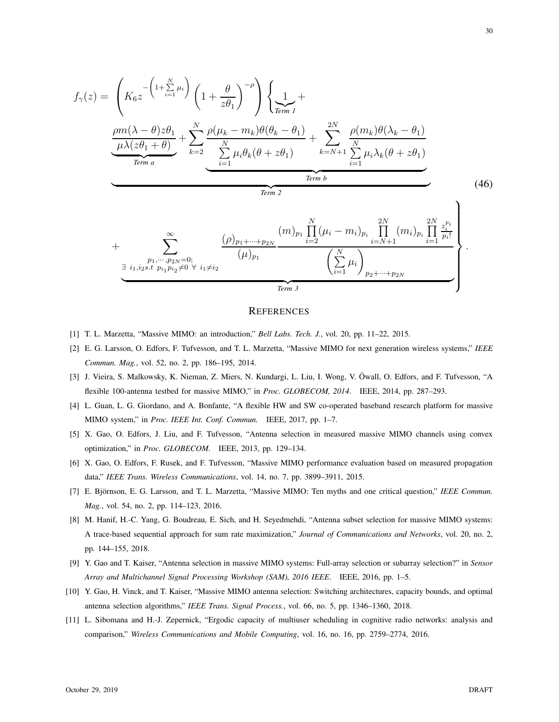$$
f_{\gamma}(z) = \left(K_6 z^{-\left(1+\sum_{i=1}^{N} \mu_i\right)} \left(1+\frac{\theta}{z\theta_1}\right)^{-\rho}\right) \left\{\frac{1}{z_{\text{Ferm }I}} + \frac{m(\lambda-\theta)z\theta_1}{\mu\lambda(z\theta_1+\theta)} + \sum_{k=2}^{N} \frac{\rho(\mu_k-m_k)\theta(\theta_k-\theta_1)}{\sum_{i=1}^{N} \mu_i\theta_k(\theta+z\theta_1)} + \sum_{k=N+1}^{2N} \frac{\rho(m_k)\theta(\lambda_k-\theta_1)}{\sum_{i=1}^{N} \mu_i\lambda_k(\theta+z\theta_1)}\right\}
$$
\n
$$
\underbrace{\underbrace{\left(\frac{\mu}{\mu\lambda(z\theta_1+\theta)}\right)}_{\text{Term }a}}_{\text{Term }b}
$$
\n
$$
(46)
$$

$$
+\sum_{\substack{p_1,\dots,p_{2N}=0;\\ \exists i_1,i_2s.t \ p_{i_1}p_{i_2}\neq 0 \ \forall \ i_1\neq i_2}}^{0} \frac{(\rho)_{p_1+\dots+p_{2N}}}{(\mu)_{p_1}} \frac{(m)_{p_1} \prod_{i=2}^N (\mu_i - m_i)_{p_i} \prod_{i=N+1}^{2N} (m_i)_{p_i} \prod_{i=1}^{2N} \frac{z_i^{p_i}}{p_i!}}{\left(\sum_{i=1}^N \mu_i\right)_{p_2+\dots+p_{2N}}}
$$

# **REFERENCES**

- [1] T. L. Marzetta, "Massive MIMO: an introduction," *Bell Labs. Tech. J.*, vol. 20, pp. 11–22, 2015.
- [2] E. G. Larsson, O. Edfors, F. Tufvesson, and T. L. Marzetta, "Massive MIMO for next generation wireless systems," *IEEE Commun. Mag.*, vol. 52, no. 2, pp. 186–195, 2014.
- [3] J. Vieira, S. Malkowsky, K. Nieman, Z. Miers, N. Kundargi, L. Liu, I. Wong, V. Owall, O. Edfors, and F. Tufvesson, "A ¨ flexible 100-antenna testbed for massive MIMO," in *Proc. GLOBECOM, 2014*. IEEE, 2014, pp. 287–293.
- [4] L. Guan, L. G. Giordano, and A. Bonfante, "A flexible HW and SW co-operated baseband research platform for massive MIMO system," in *Proc. IEEE Int. Conf. Commun.* IEEE, 2017, pp. 1–7.
- [5] X. Gao, O. Edfors, J. Liu, and F. Tufvesson, "Antenna selection in measured massive MIMO channels using convex optimization," in *Proc. GLOBECOM*. IEEE, 2013, pp. 129–134.
- [6] X. Gao, O. Edfors, F. Rusek, and F. Tufvesson, "Massive MIMO performance evaluation based on measured propagation data," *IEEE Trans. Wireless Communications*, vol. 14, no. 7, pp. 3899–3911, 2015.
- [7] E. Björnson, E. G. Larsson, and T. L. Marzetta, "Massive MIMO: Ten myths and one critical question," *IEEE Commun. Mag.*, vol. 54, no. 2, pp. 114–123, 2016.
- [8] M. Hanif, H.-C. Yang, G. Boudreau, E. Sich, and H. Seyedmehdi, "Antenna subset selection for massive MIMO systems: A trace-based sequential approach for sum rate maximization," *Journal of Communications and Networks*, vol. 20, no. 2, pp. 144–155, 2018.
- [9] Y. Gao and T. Kaiser, "Antenna selection in massive MIMO systems: Full-array selection or subarray selection?" in *Sensor Array and Multichannel Signal Processing Workshop (SAM), 2016 IEEE*. IEEE, 2016, pp. 1–5.
- [10] Y. Gao, H. Vinck, and T. Kaiser, "Massive MIMO antenna selection: Switching architectures, capacity bounds, and optimal antenna selection algorithms," *IEEE Trans. Signal Process.*, vol. 66, no. 5, pp. 1346–1360, 2018.
- [11] L. Sibomana and H.-J. Zepernick, "Ergodic capacity of multiuser scheduling in cognitive radio networks: analysis and comparison," *Wireless Communications and Mobile Computing*, vol. 16, no. 16, pp. 2759–2774, 2016.

.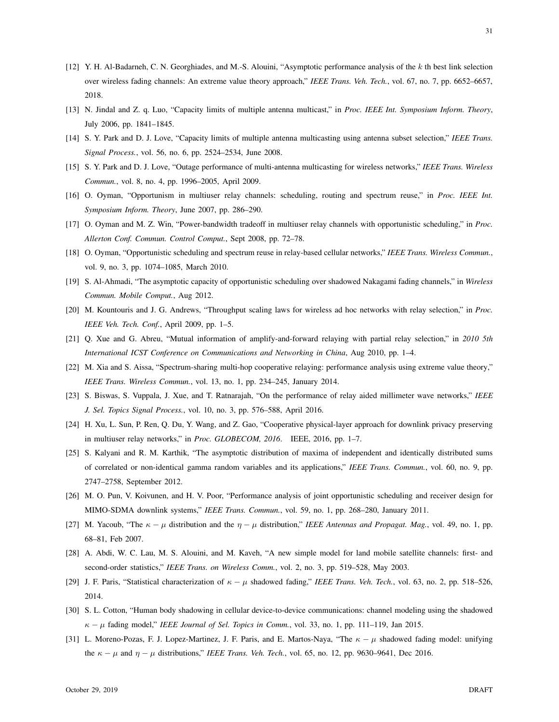- [12] Y. H. Al-Badarneh, C. N. Georghiades, and M.-S. Alouini, "Asymptotic performance analysis of the k th best link selection over wireless fading channels: An extreme value theory approach," *IEEE Trans. Veh. Tech.*, vol. 67, no. 7, pp. 6652–6657, 2018.
- [13] N. Jindal and Z. q. Luo, "Capacity limits of multiple antenna multicast," in *Proc. IEEE Int. Symposium Inform. Theory*, July 2006, pp. 1841–1845.
- [14] S. Y. Park and D. J. Love, "Capacity limits of multiple antenna multicasting using antenna subset selection," *IEEE Trans. Signal Process.*, vol. 56, no. 6, pp. 2524–2534, June 2008.
- [15] S. Y. Park and D. J. Love, "Outage performance of multi-antenna multicasting for wireless networks," *IEEE Trans. Wireless Commun.*, vol. 8, no. 4, pp. 1996–2005, April 2009.
- [16] O. Oyman, "Opportunism in multiuser relay channels: scheduling, routing and spectrum reuse," in *Proc. IEEE Int. Symposium Inform. Theory*, June 2007, pp. 286–290.
- [17] O. Oyman and M. Z. Win, "Power-bandwidth tradeoff in multiuser relay channels with opportunistic scheduling," in *Proc. Allerton Conf. Commun. Control Comput.*, Sept 2008, pp. 72–78.
- [18] O. Oyman, "Opportunistic scheduling and spectrum reuse in relay-based cellular networks," *IEEE Trans. Wireless Commun.*, vol. 9, no. 3, pp. 1074–1085, March 2010.
- [19] S. Al-Ahmadi, "The asymptotic capacity of opportunistic scheduling over shadowed Nakagami fading channels," in *Wireless Commun. Mobile Comput.*, Aug 2012.
- [20] M. Kountouris and J. G. Andrews, "Throughput scaling laws for wireless ad hoc networks with relay selection," in *Proc. IEEE Veh. Tech. Conf.*, April 2009, pp. 1–5.
- [21] Q. Xue and G. Abreu, "Mutual information of amplify-and-forward relaying with partial relay selection," in *2010 5th International ICST Conference on Communications and Networking in China*, Aug 2010, pp. 1–4.
- [22] M. Xia and S. Aissa, "Spectrum-sharing multi-hop cooperative relaying: performance analysis using extreme value theory," *IEEE Trans. Wireless Commun.*, vol. 13, no. 1, pp. 234–245, January 2014.
- [23] S. Biswas, S. Vuppala, J. Xue, and T. Ratnarajah, "On the performance of relay aided millimeter wave networks," *IEEE J. Sel. Topics Signal Process.*, vol. 10, no. 3, pp. 576–588, April 2016.
- [24] H. Xu, L. Sun, P. Ren, Q. Du, Y. Wang, and Z. Gao, "Cooperative physical-layer approach for downlink privacy preserving in multiuser relay networks," in *Proc. GLOBECOM, 2016*. IEEE, 2016, pp. 1–7.
- [25] S. Kalyani and R. M. Karthik, "The asymptotic distribution of maxima of independent and identically distributed sums of correlated or non-identical gamma random variables and its applications," *IEEE Trans. Commun.*, vol. 60, no. 9, pp. 2747–2758, September 2012.
- [26] M. O. Pun, V. Koivunen, and H. V. Poor, "Performance analysis of joint opportunistic scheduling and receiver design for MIMO-SDMA downlink systems," *IEEE Trans. Commun.*, vol. 59, no. 1, pp. 268–280, January 2011.
- [27] M. Yacoub, "The  $\kappa \mu$  distribution and the  $\eta \mu$  distribution," *IEEE Antennas and Propagat. Mag.*, vol. 49, no. 1, pp. 68–81, Feb 2007.
- [28] A. Abdi, W. C. Lau, M. S. Alouini, and M. Kaveh, "A new simple model for land mobile satellite channels: first- and second-order statistics," *IEEE Trans. on Wireless Comm.*, vol. 2, no. 3, pp. 519–528, May 2003.
- [29] J. F. Paris, "Statistical characterization of  $\kappa \mu$  shadowed fading," *IEEE Trans. Veh. Tech.*, vol. 63, no. 2, pp. 518–526, 2014.
- [30] S. L. Cotton, "Human body shadowing in cellular device-to-device communications: channel modeling using the shadowed  $\kappa - \mu$  fading model," *IEEE Journal of Sel. Topics in Comm.*, vol. 33, no. 1, pp. 111–119, Jan 2015.
- [31] L. Moreno-Pozas, F. J. Lopez-Martinez, J. F. Paris, and E. Martos-Naya, "The  $\kappa \mu$  shadowed fading model: unifying the  $\kappa - \mu$  and  $\eta - \mu$  distributions," *IEEE Trans. Veh. Tech.*, vol. 65, no. 12, pp. 9630–9641, Dec 2016.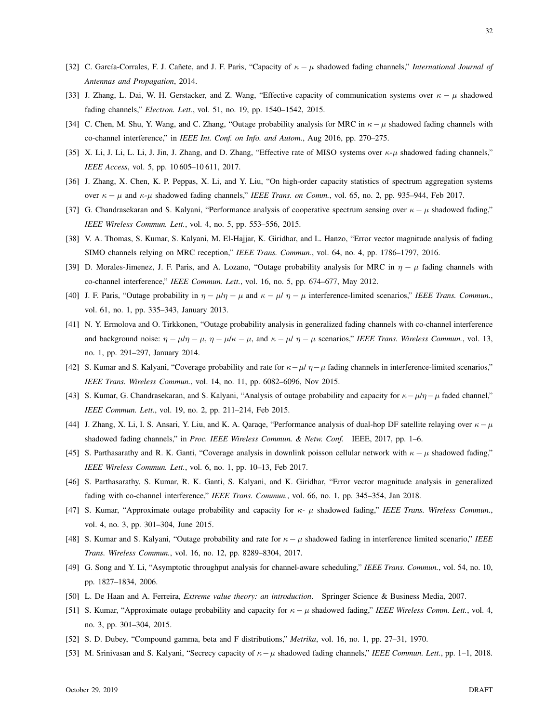- [32] C. Garc´ıa-Corrales, F. J. Ca˜nete, and J. F. Paris, "Capacity of κ − µ shadowed fading channels," *International Journal of Antennas and Propagation*, 2014.
- [33] J. Zhang, L. Dai, W. H. Gerstacker, and Z. Wang, "Effective capacity of communication systems over  $\kappa \mu$  shadowed fading channels," *Electron. Lett.*, vol. 51, no. 19, pp. 1540–1542, 2015.
- [34] C. Chen, M. Shu, Y. Wang, and C. Zhang, "Outage probability analysis for MRC in  $\kappa \mu$  shadowed fading channels with co-channel interference," in *IEEE Int. Conf. on Info. and Autom.*, Aug 2016, pp. 270–275.
- [35] X. Li, J. Li, L. Li, J. Jin, J. Zhang, and D. Zhang, "Effective rate of MISO systems over  $\kappa$ - $\mu$  shadowed fading channels," *IEEE Access*, vol. 5, pp. 10 605–10 611, 2017.
- [36] J. Zhang, X. Chen, K. P. Peppas, X. Li, and Y. Liu, "On high-order capacity statistics of spectrum aggregation systems over κ − µ and κ-µ shadowed fading channels," *IEEE Trans. on Comm.*, vol. 65, no. 2, pp. 935–944, Feb 2017.
- [37] G. Chandrasekaran and S. Kalyani, "Performance analysis of cooperative spectrum sensing over  $\kappa \mu$  shadowed fading," *IEEE Wireless Commun. Lett.*, vol. 4, no. 5, pp. 553–556, 2015.
- [38] V. A. Thomas, S. Kumar, S. Kalyani, M. El-Hajjar, K. Giridhar, and L. Hanzo, "Error vector magnitude analysis of fading SIMO channels relying on MRC reception," *IEEE Trans. Commun.*, vol. 64, no. 4, pp. 1786–1797, 2016.
- [39] D. Morales-Jimenez, J. F. Paris, and A. Lozano, "Outage probability analysis for MRC in  $\eta \mu$  fading channels with co-channel interference," *IEEE Commun. Lett.*, vol. 16, no. 5, pp. 674–677, May 2012.
- [40] J. F. Paris, "Outage probability in  $\eta \mu/\eta \mu$  and  $\kappa \mu/\eta \mu$  interference-limited scenarios," *IEEE Trans. Commun.*, vol. 61, no. 1, pp. 335–343, January 2013.
- [41] N. Y. Ermolova and O. Tirkkonen, "Outage probability analysis in generalized fading channels with co-channel interference and background noise:  $\eta - \mu/\eta - \mu$ ,  $\eta - \mu/\kappa - \mu$ , and  $\kappa - \mu/\eta - \mu$  scenarios," *IEEE Trans. Wireless Commun.*, vol. 13, no. 1, pp. 291–297, January 2014.
- [42] S. Kumar and S. Kalyani, "Coverage probability and rate for  $\kappa \mu / \eta \mu$  fading channels in interference-limited scenarios," *IEEE Trans. Wireless Commun.*, vol. 14, no. 11, pp. 6082–6096, Nov 2015.
- [43] S. Kumar, G. Chandrasekaran, and S. Kalyani, "Analysis of outage probability and capacity for  $\kappa \mu/\eta \mu$  faded channel," *IEEE Commun. Lett.*, vol. 19, no. 2, pp. 211–214, Feb 2015.
- [44] J. Zhang, X. Li, I. S. Ansari, Y. Liu, and K. A. Qaraqe, "Performance analysis of dual-hop DF satellite relaying over  $\kappa \mu$ shadowed fading channels," in *Proc. IEEE Wireless Commun. & Netw. Conf.* IEEE, 2017, pp. 1–6.
- [45] S. Parthasarathy and R. K. Ganti, "Coverage analysis in downlink poisson cellular network with  $\kappa \mu$  shadowed fading," *IEEE Wireless Commun. Lett.*, vol. 6, no. 1, pp. 10–13, Feb 2017.
- [46] S. Parthasarathy, S. Kumar, R. K. Ganti, S. Kalyani, and K. Giridhar, "Error vector magnitude analysis in generalized fading with co-channel interference," *IEEE Trans. Commun.*, vol. 66, no. 1, pp. 345–354, Jan 2018.
- [47] S. Kumar, "Approximate outage probability and capacity for κ- µ shadowed fading," *IEEE Trans. Wireless Commun.*, vol. 4, no. 3, pp. 301–304, June 2015.
- [48] S. Kumar and S. Kalyani, "Outage probability and rate for κ − µ shadowed fading in interference limited scenario," *IEEE Trans. Wireless Commun.*, vol. 16, no. 12, pp. 8289–8304, 2017.
- [49] G. Song and Y. Li, "Asymptotic throughput analysis for channel-aware scheduling," *IEEE Trans. Commun.*, vol. 54, no. 10, pp. 1827–1834, 2006.
- [50] L. De Haan and A. Ferreira, *Extreme value theory: an introduction*. Springer Science & Business Media, 2007.
- [51] S. Kumar, "Approximate outage probability and capacity for  $\kappa \mu$  shadowed fading," *IEEE Wireless Comm. Lett.*, vol. 4, no. 3, pp. 301–304, 2015.
- [52] S. D. Dubey, "Compound gamma, beta and F distributions," *Metrika*, vol. 16, no. 1, pp. 27–31, 1970.
- [53] M. Srinivasan and S. Kalyani, "Secrecy capacity of κ−µ shadowed fading channels," *IEEE Commun. Lett.*, pp. 1–1, 2018.